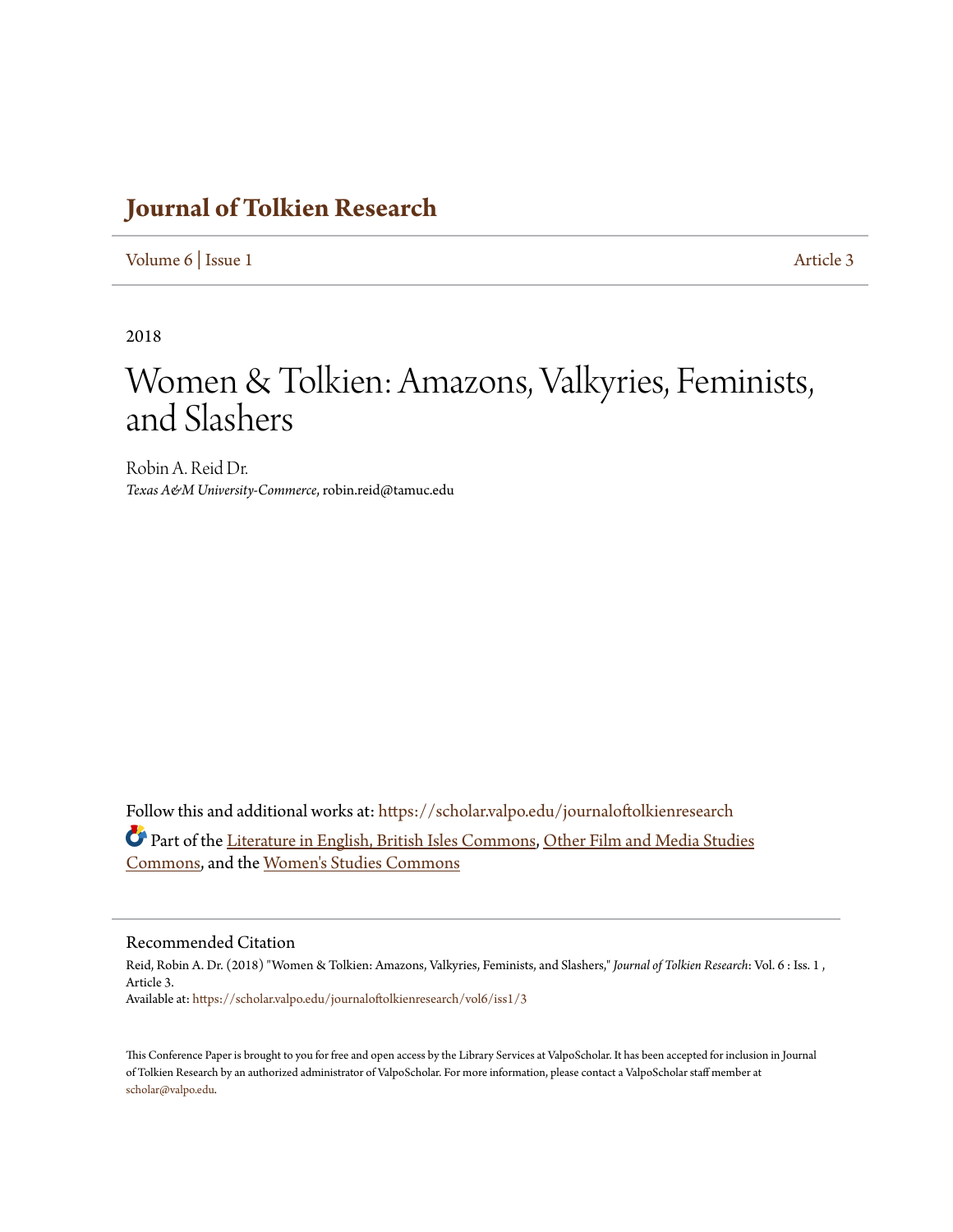## **[Journal of Tolkien Research](https://scholar.valpo.edu/journaloftolkienresearch?utm_source=scholar.valpo.edu%2Fjournaloftolkienresearch%2Fvol6%2Fiss1%2F3&utm_medium=PDF&utm_campaign=PDFCoverPages)**

[Volume 6](https://scholar.valpo.edu/journaloftolkienresearch/vol6?utm_source=scholar.valpo.edu%2Fjournaloftolkienresearch%2Fvol6%2Fiss1%2F3&utm_medium=PDF&utm_campaign=PDFCoverPages) | [Issue 1](https://scholar.valpo.edu/journaloftolkienresearch/vol6/iss1?utm_source=scholar.valpo.edu%2Fjournaloftolkienresearch%2Fvol6%2Fiss1%2F3&utm_medium=PDF&utm_campaign=PDFCoverPages) [Article 3](https://scholar.valpo.edu/journaloftolkienresearch/vol6/iss1/3?utm_source=scholar.valpo.edu%2Fjournaloftolkienresearch%2Fvol6%2Fiss1%2F3&utm_medium=PDF&utm_campaign=PDFCoverPages)

2018

# Women & Tolkien: Amazons, Valkyries, Feminists, and Slashers

Robin A. Reid Dr. *Texas A&M University-Commerce*, robin.reid@tamuc.edu

Follow this and additional works at: [https://scholar.valpo.edu/journaloftolkienresearch](https://scholar.valpo.edu/journaloftolkienresearch?utm_source=scholar.valpo.edu%2Fjournaloftolkienresearch%2Fvol6%2Fiss1%2F3&utm_medium=PDF&utm_campaign=PDFCoverPages) Part of the [Literature in English, British Isles Commons](http://network.bepress.com/hgg/discipline/456?utm_source=scholar.valpo.edu%2Fjournaloftolkienresearch%2Fvol6%2Fiss1%2F3&utm_medium=PDF&utm_campaign=PDFCoverPages), [Other Film and Media Studies](http://network.bepress.com/hgg/discipline/565?utm_source=scholar.valpo.edu%2Fjournaloftolkienresearch%2Fvol6%2Fiss1%2F3&utm_medium=PDF&utm_campaign=PDFCoverPages) [Commons,](http://network.bepress.com/hgg/discipline/565?utm_source=scholar.valpo.edu%2Fjournaloftolkienresearch%2Fvol6%2Fiss1%2F3&utm_medium=PDF&utm_campaign=PDFCoverPages) and the [Women's Studies Commons](http://network.bepress.com/hgg/discipline/561?utm_source=scholar.valpo.edu%2Fjournaloftolkienresearch%2Fvol6%2Fiss1%2F3&utm_medium=PDF&utm_campaign=PDFCoverPages)

#### Recommended Citation

Reid, Robin A. Dr. (2018) "Women & Tolkien: Amazons, Valkyries, Feminists, and Slashers," *Journal of Tolkien Research*: Vol. 6 : Iss. 1 , Article 3. Available at: [https://scholar.valpo.edu/journaloftolkienresearch/vol6/iss1/3](https://scholar.valpo.edu/journaloftolkienresearch/vol6/iss1/3?utm_source=scholar.valpo.edu%2Fjournaloftolkienresearch%2Fvol6%2Fiss1%2F3&utm_medium=PDF&utm_campaign=PDFCoverPages)

This Conference Paper is brought to you for free and open access by the Library Services at ValpoScholar. It has been accepted for inclusion in Journal of Tolkien Research by an authorized administrator of ValpoScholar. For more information, please contact a ValpoScholar staff member at [scholar@valpo.edu.](mailto:scholar@valpo.edu)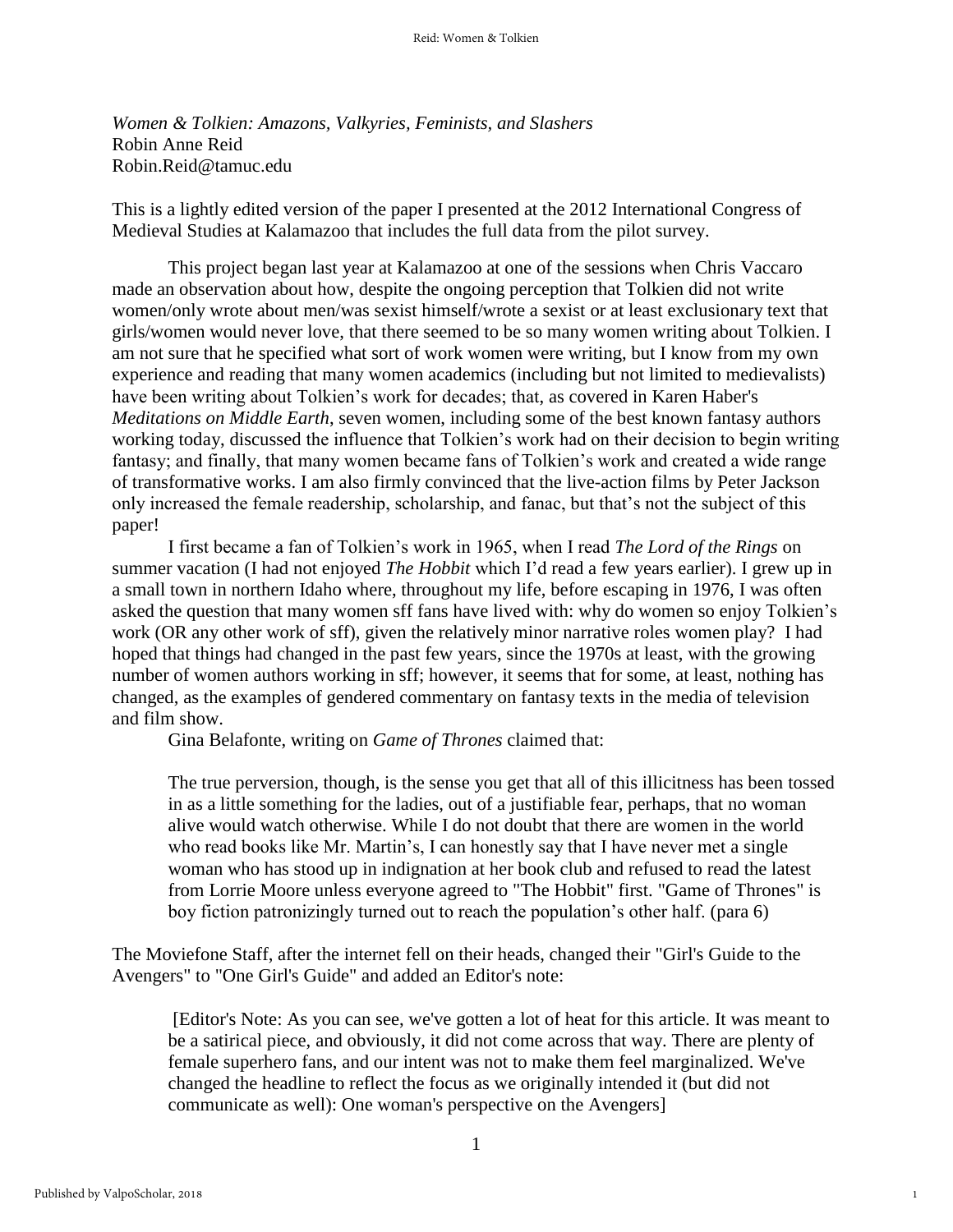*Women & Tolkien: Amazons, Valkyries, Feminists, and Slashers* Robin Anne Reid Robin.Reid@tamuc.edu

This is a lightly edited version of the paper I presented at the 2012 International Congress of Medieval Studies at Kalamazoo that includes the full data from the pilot survey.

This project began last year at Kalamazoo at one of the sessions when Chris Vaccaro made an observation about how, despite the ongoing perception that Tolkien did not write women/only wrote about men/was sexist himself/wrote a sexist or at least exclusionary text that girls/women would never love, that there seemed to be so many women writing about Tolkien. I am not sure that he specified what sort of work women were writing, but I know from my own experience and reading that many women academics (including but not limited to medievalists) have been writing about Tolkien's work for decades; that, as covered in Karen Haber's *Meditations on Middle Earth*, seven women, including some of the best known fantasy authors working today, discussed the influence that Tolkien's work had on their decision to begin writing fantasy; and finally, that many women became fans of Tolkien's work and created a wide range of transformative works. I am also firmly convinced that the live-action films by Peter Jackson only increased the female readership, scholarship, and fanac, but that's not the subject of this paper!

I first became a fan of Tolkien's work in 1965, when I read *The Lord of the Rings* on summer vacation (I had not enjoyed *The Hobbit* which I'd read a few years earlier). I grew up in a small town in northern Idaho where, throughout my life, before escaping in 1976, I was often asked the question that many women sff fans have lived with: why do women so enjoy Tolkien's work (OR any other work of sff), given the relatively minor narrative roles women play? I had hoped that things had changed in the past few years, since the 1970s at least, with the growing number of women authors working in sff; however, it seems that for some, at least, nothing has changed, as the examples of gendered commentary on fantasy texts in the media of television and film show.

Gina Belafonte, writing on *Game of Thrones* claimed that:

The true perversion, though, is the sense you get that all of this illicitness has been tossed in as a little something for the ladies, out of a justifiable fear, perhaps, that no woman alive would watch otherwise. While I do not doubt that there are women in the world who read books like Mr. Martin's, I can honestly say that I have never met a single woman who has stood up in indignation at her book club and refused to read the latest from Lorrie Moore unless everyone agreed to "The Hobbit" first. "Game of Thrones" is boy fiction patronizingly turned out to reach the population's other half. (para 6)

The Moviefone Staff, after the internet fell on their heads, changed their "Girl's Guide to the Avengers" to "One Girl's Guide" and added an Editor's note:

[Editor's Note: As you can see, we've gotten a lot of heat for this article. It was meant to be a satirical piece, and obviously, it did not come across that way. There are plenty of female superhero fans, and our intent was not to make them feel marginalized. We've changed the headline to reflect the focus as we originally intended it (but did not communicate as well): One woman's perspective on the Avengers]

1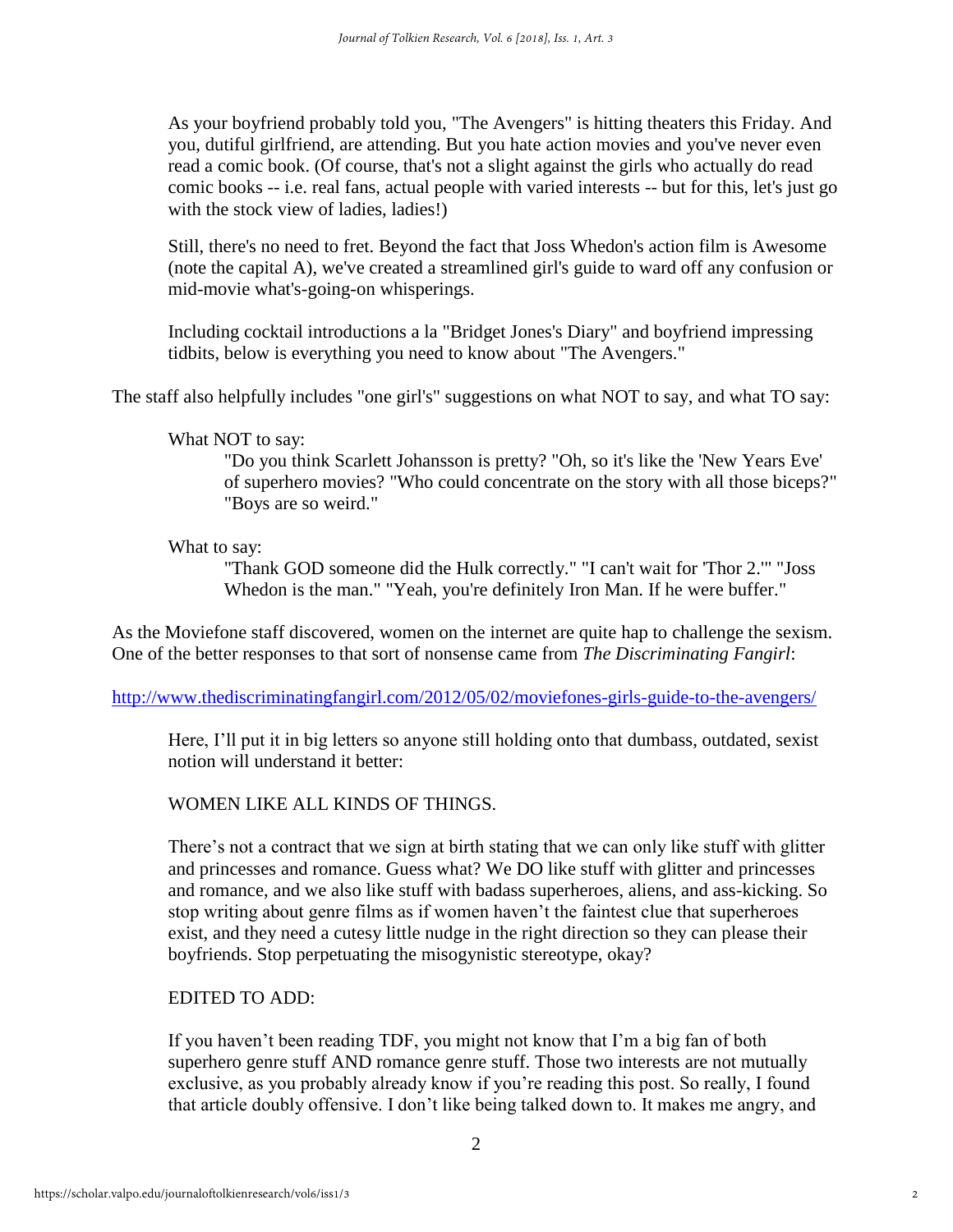As your boyfriend probably told you, "The Avengers" is hitting theaters this Friday. And you, dutiful girlfriend, are attending. But you hate action movies and you've never even read a comic book. (Of course, that's not a slight against the girls who actually do read comic books -- i.e. real fans, actual people with varied interests -- but for this, let's just go with the stock view of ladies, ladies!)

Still, there's no need to fret. Beyond the fact that Joss Whedon's action film is Awesome (note the capital A), we've created a streamlined girl's guide to ward off any confusion or mid-movie what's-going-on whisperings.

Including cocktail introductions a la "Bridget Jones's Diary" and boyfriend impressing tidbits, below is everything you need to know about "The Avengers."

The staff also helpfully includes "one girl's" suggestions on what NOT to say, and what TO say:

#### What NOT to say:

"Do you think Scarlett Johansson is pretty? "Oh, so it's like the 'New Years Eve' of superhero movies? "Who could concentrate on the story with all those biceps?" "Boys are so weird."

#### What to say:

"Thank GOD someone did the Hulk correctly." "I can't wait for 'Thor 2.'" "Joss Whedon is the man." "Yeah, you're definitely Iron Man. If he were buffer."

As the Moviefone staff discovered, women on the internet are quite hap to challenge the sexism. One of the better responses to that sort of nonsense came from *The Discriminating Fangirl*:

<http://www.thediscriminatingfangirl.com/2012/05/02/moviefones-girls-guide-to-the-avengers/>

Here, I'll put it in big letters so anyone still holding onto that dumbass, outdated, sexist notion will understand it better:

## WOMEN LIKE ALL KINDS OF THINGS.

There's not a contract that we sign at birth stating that we can only like stuff with glitter and princesses and romance. Guess what? We DO like stuff with glitter and princesses and romance, and we also like stuff with badass superheroes, aliens, and ass-kicking. So stop writing about genre films as if women haven't the faintest clue that superheroes exist, and they need a cutesy little nudge in the right direction so they can please their boyfriends. Stop perpetuating the misogynistic stereotype, okay?

## EDITED TO ADD:

If you haven't been reading TDF, you might not know that I'm a big fan of both superhero genre stuff AND romance genre stuff. Those two interests are not mutually exclusive, as you probably already know if you're reading this post. So really, I found that article doubly offensive. I don't like being talked down to. It makes me angry, and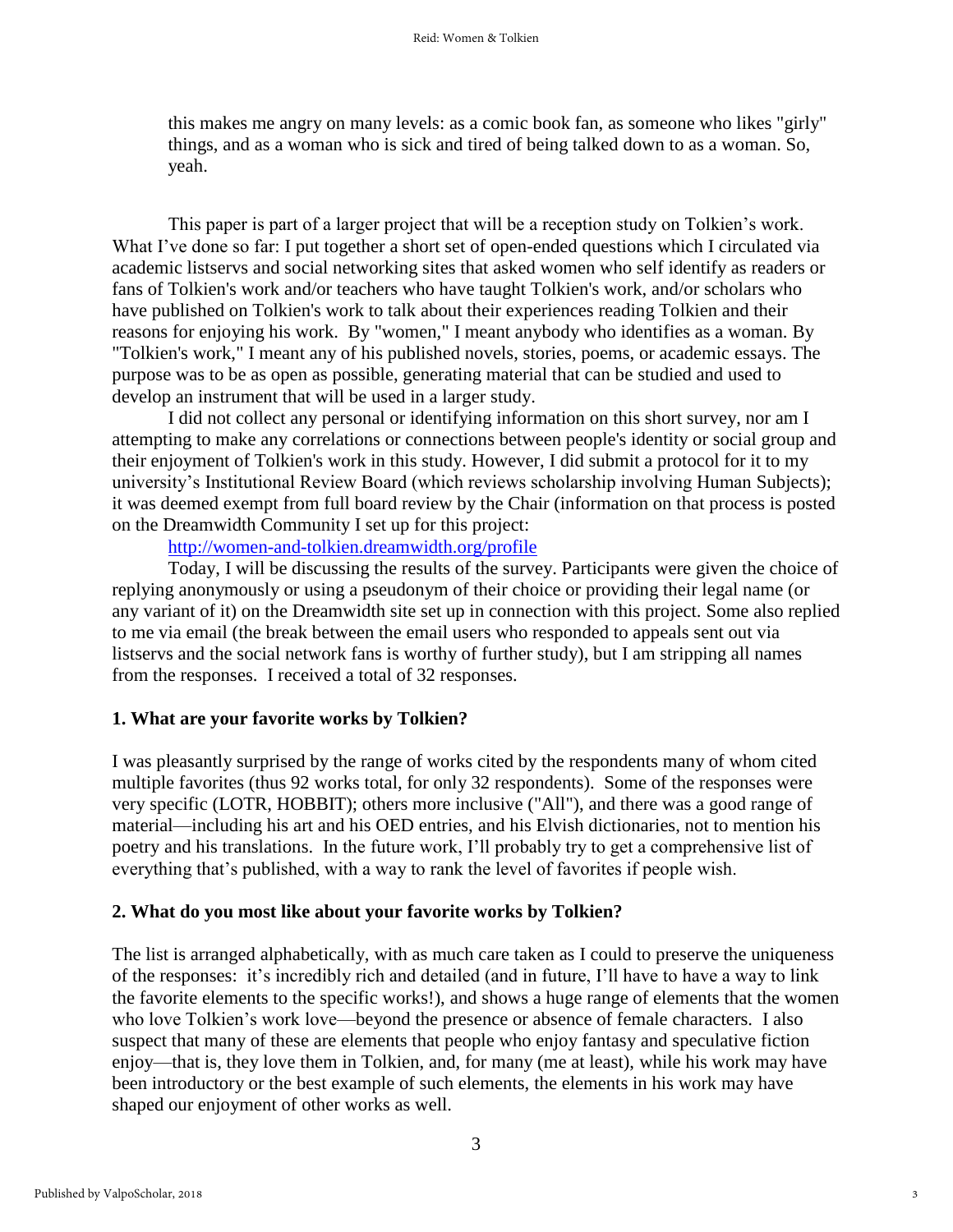this makes me angry on many levels: as a comic book fan, as someone who likes "girly" things, and as a woman who is sick and tired of being talked down to as a woman. So, yeah.

This paper is part of a larger project that will be a reception study on Tolkien's work. What I've done so far: I put together a short set of open-ended questions which I circulated via academic listservs and social networking sites that asked women who self identify as readers or fans of Tolkien's work and/or teachers who have taught Tolkien's work, and/or scholars who have published on Tolkien's work to talk about their experiences reading Tolkien and their reasons for enjoying his work. By "women," I meant anybody who identifies as a woman. By "Tolkien's work," I meant any of his published novels, stories, poems, or academic essays. The purpose was to be as open as possible, generating material that can be studied and used to develop an instrument that will be used in a larger study.

I did not collect any personal or identifying information on this short survey, nor am I attempting to make any correlations or connections between people's identity or social group and their enjoyment of Tolkien's work in this study. However, I did submit a protocol for it to my university's Institutional Review Board (which reviews scholarship involving Human Subjects); it was deemed exempt from full board review by the Chair (information on that process is posted on the Dreamwidth Community I set up for this project:

#### <http://women-and-tolkien.dreamwidth.org/profile>

Today, I will be discussing the results of the survey. Participants were given the choice of replying anonymously or using a pseudonym of their choice or providing their legal name (or any variant of it) on the Dreamwidth site set up in connection with this project. Some also replied to me via email (the break between the email users who responded to appeals sent out via listservs and the social network fans is worthy of further study), but I am stripping all names from the responses. I received a total of 32 responses.

## **1. What are your favorite works by Tolkien?**

I was pleasantly surprised by the range of works cited by the respondents many of whom cited multiple favorites (thus 92 works total, for only 32 respondents). Some of the responses were very specific (LOTR, HOBBIT); others more inclusive ("All"), and there was a good range of material—including his art and his OED entries, and his Elvish dictionaries, not to mention his poetry and his translations. In the future work, I'll probably try to get a comprehensive list of everything that's published, with a way to rank the level of favorites if people wish.

#### **2. What do you most like about your favorite works by Tolkien?**

The list is arranged alphabetically, with as much care taken as I could to preserve the uniqueness of the responses: it's incredibly rich and detailed (and in future, I'll have to have a way to link the favorite elements to the specific works!), and shows a huge range of elements that the women who love Tolkien's work love—beyond the presence or absence of female characters. I also suspect that many of these are elements that people who enjoy fantasy and speculative fiction enjoy—that is, they love them in Tolkien, and, for many (me at least), while his work may have been introductory or the best example of such elements, the elements in his work may have shaped our enjoyment of other works as well.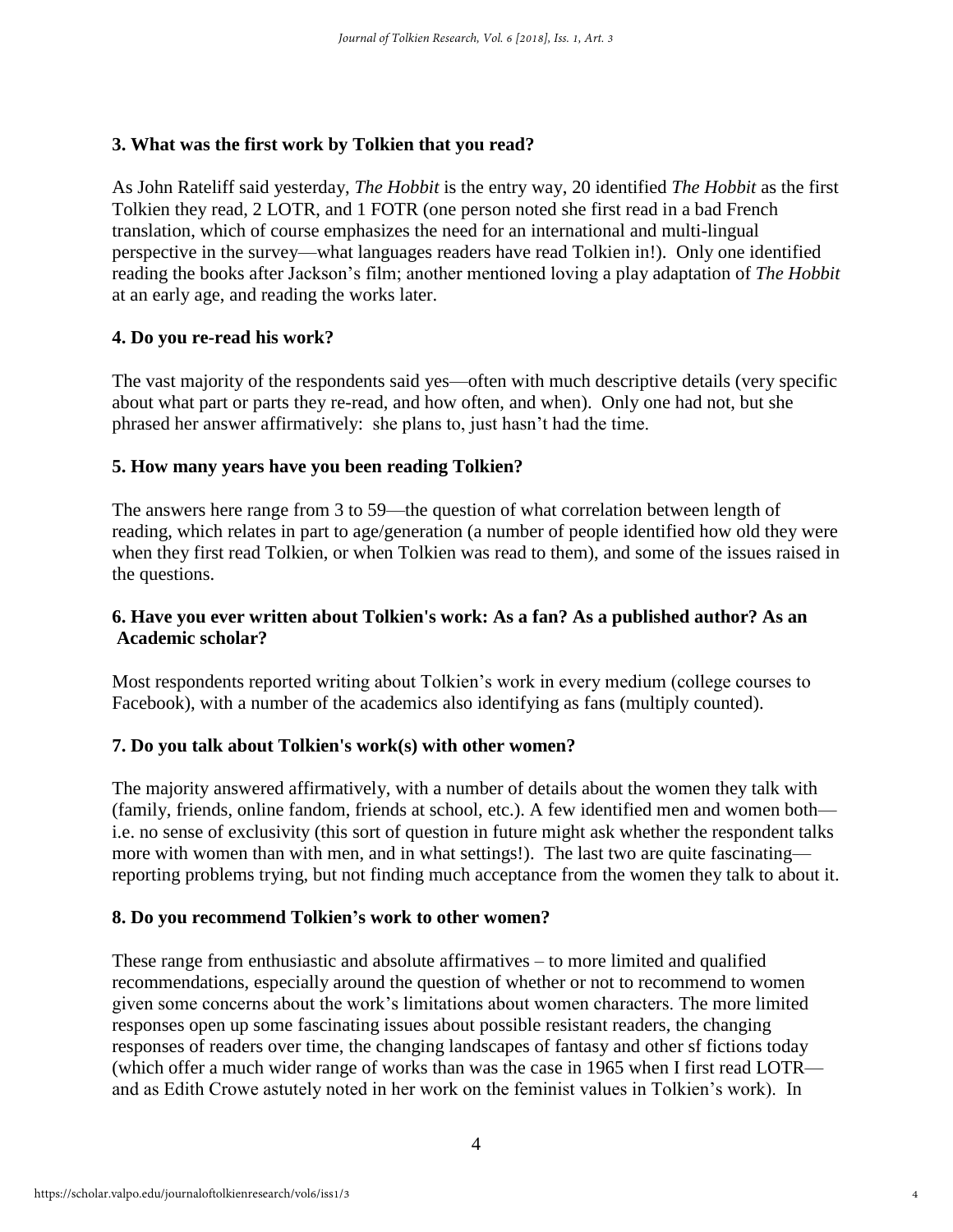## **3. What was the first work by Tolkien that you read?**

As John Rateliff said yesterday, *The Hobbit* is the entry way, 20 identified *The Hobbit* as the first Tolkien they read, 2 LOTR, and 1 FOTR (one person noted she first read in a bad French translation, which of course emphasizes the need for an international and multi-lingual perspective in the survey—what languages readers have read Tolkien in!). Only one identified reading the books after Jackson's film; another mentioned loving a play adaptation of *The Hobbit*  at an early age, and reading the works later.

## **4. Do you re-read his work?**

The vast majority of the respondents said yes—often with much descriptive details (very specific about what part or parts they re-read, and how often, and when). Only one had not, but she phrased her answer affirmatively: she plans to, just hasn't had the time.

## **5. How many years have you been reading Tolkien?**

The answers here range from 3 to 59—the question of what correlation between length of reading, which relates in part to age/generation (a number of people identified how old they were when they first read Tolkien, or when Tolkien was read to them), and some of the issues raised in the questions.

## **6. Have you ever written about Tolkien's work: As a fan? As a published author? As an Academic scholar?**

Most respondents reported writing about Tolkien's work in every medium (college courses to Facebook), with a number of the academics also identifying as fans (multiply counted).

## **7. Do you talk about Tolkien's work(s) with other women?**

The majority answered affirmatively, with a number of details about the women they talk with (family, friends, online fandom, friends at school, etc.). A few identified men and women both i.e. no sense of exclusivity (this sort of question in future might ask whether the respondent talks more with women than with men, and in what settings!). The last two are quite fascinating reporting problems trying, but not finding much acceptance from the women they talk to about it.

## **8. Do you recommend Tolkien's work to other women?**

These range from enthusiastic and absolute affirmatives – to more limited and qualified recommendations, especially around the question of whether or not to recommend to women given some concerns about the work's limitations about women characters. The more limited responses open up some fascinating issues about possible resistant readers, the changing responses of readers over time, the changing landscapes of fantasy and other sf fictions today (which offer a much wider range of works than was the case in 1965 when I first read LOTR and as Edith Crowe astutely noted in her work on the feminist values in Tolkien's work). In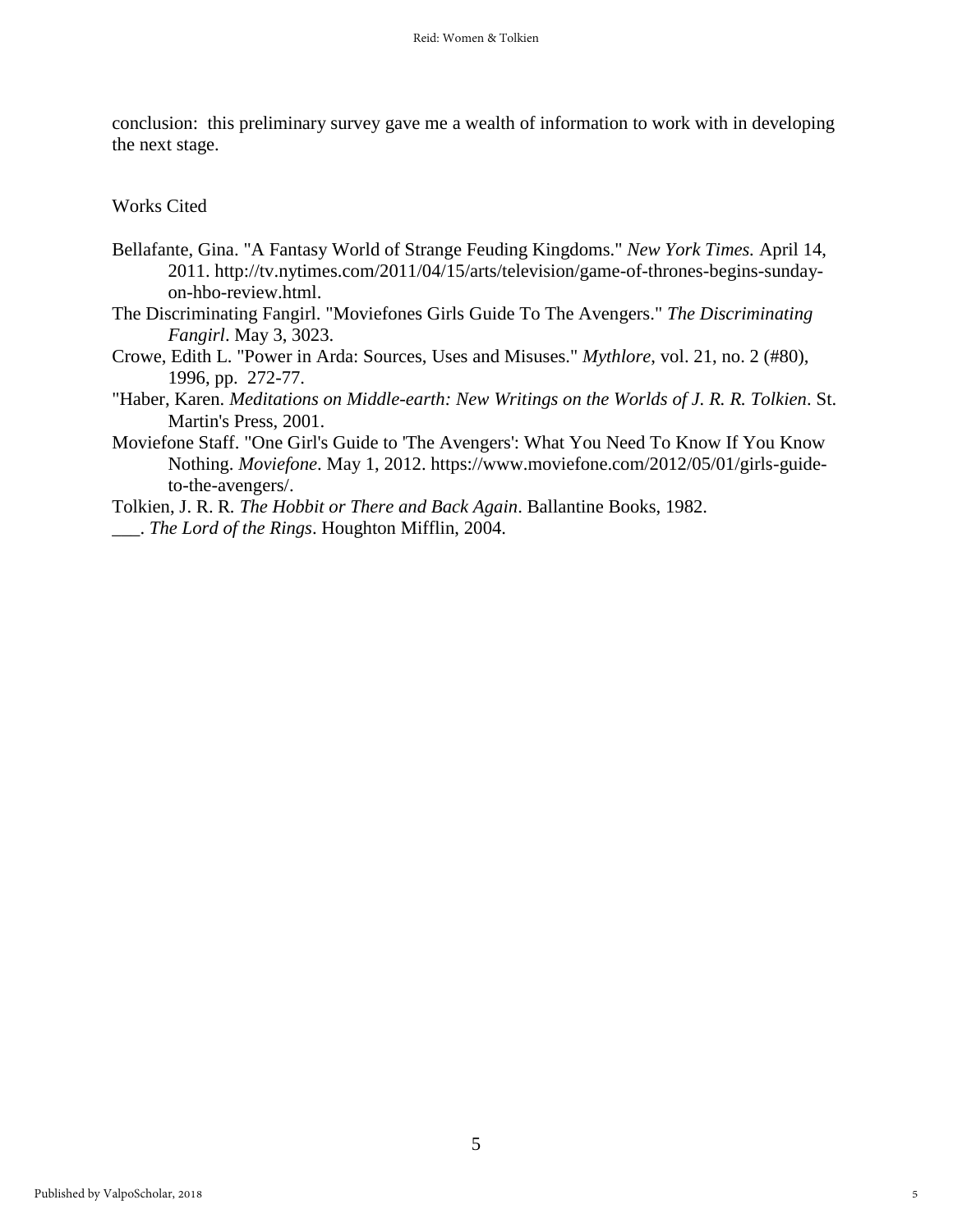conclusion: this preliminary survey gave me a wealth of information to work with in developing the next stage.

Works Cited

- Bellafante, Gina. "A Fantasy World of Strange Feuding Kingdoms." *New York Times.* April 14, 2011. http://tv.nytimes.com/2011/04/15/arts/television/game-of-thrones-begins-sundayon-hbo-review.html.
- The Discriminating Fangirl. "Moviefones Girls Guide To The Avengers." *The Discriminating Fangirl*. May 3, 3023.
- Crowe, Edith L. "Power in Arda: Sources, Uses and Misuses." *Mythlore*, vol. 21, no. 2 (#80), 1996, pp. 272-77.
- "Haber, Karen. *Meditations on Middle-earth: New Writings on the Worlds of J. R. R. Tolkien*. St. Martin's Press, 2001.
- Moviefone Staff. "One Girl's Guide to 'The Avengers': What You Need To Know If You Know Nothing. *Moviefone*. May 1, 2012. https://www.moviefone.com/2012/05/01/girls-guideto-the-avengers/.
- Tolkien, J. R. R*. The Hobbit or There and Back Again*. Ballantine Books, 1982. \_\_\_. *The Lord of the Rings*. Houghton Mifflin, 2004.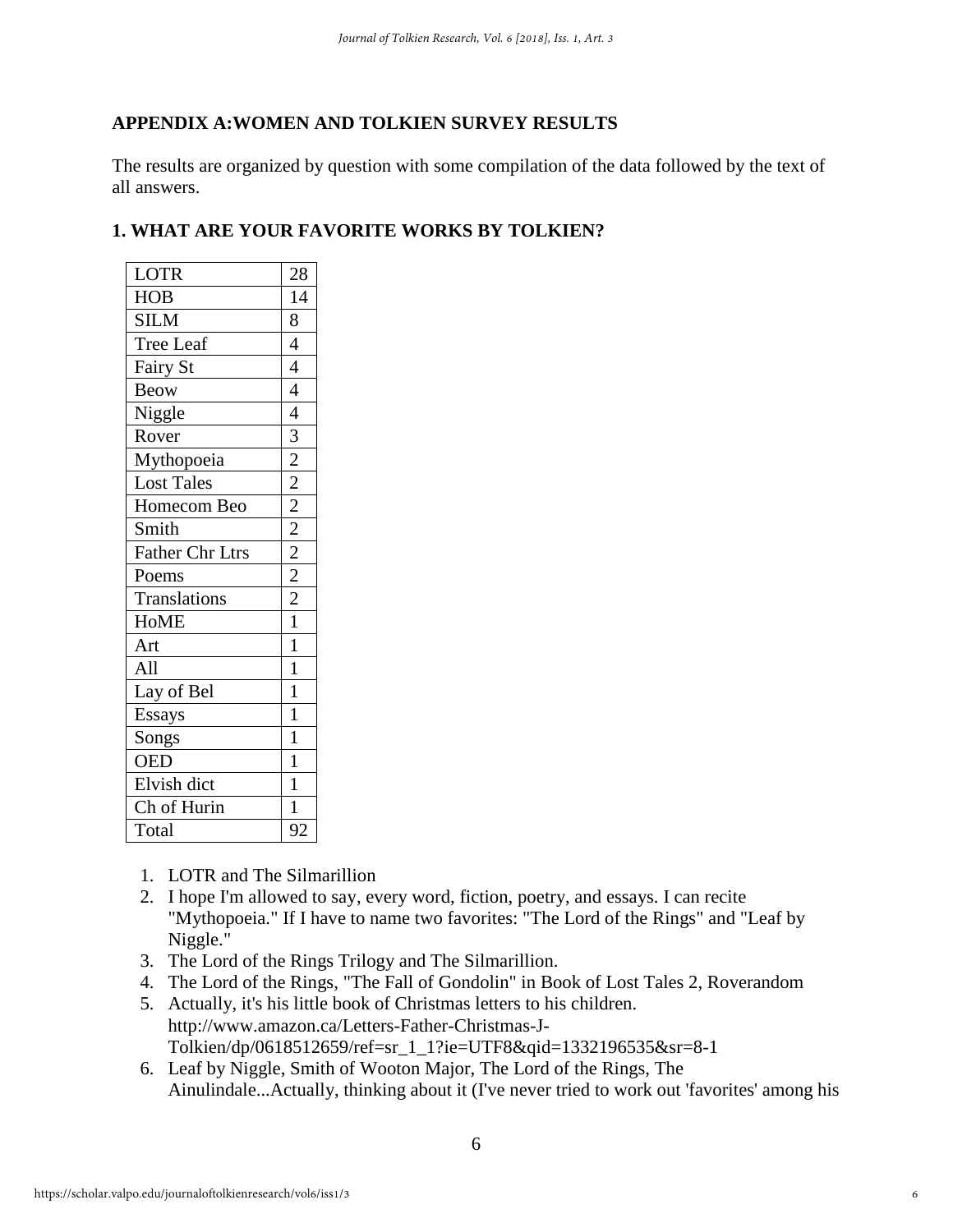## **APPENDIX A:WOMEN AND TOLKIEN SURVEY RESULTS**

The results are organized by question with some compilation of the data followed by the text of all answers.

## **1. WHAT ARE YOUR FAVORITE WORKS BY TOLKIEN?**

| <b>LOTR</b>            | 28                                                                                  |
|------------------------|-------------------------------------------------------------------------------------|
| <b>HOB</b>             | 14                                                                                  |
| <b>SILM</b>            | 8                                                                                   |
| Tree Leaf              | $\overline{4}$                                                                      |
| Fairy St               | $\overline{4}$                                                                      |
| <b>Beow</b>            | $\overline{4}$                                                                      |
| Niggle                 | $\overline{4}$                                                                      |
| Rover                  |                                                                                     |
| Mythopoeia             | $\frac{1}{2}$ $\frac{2}{2}$ $\frac{2}{2}$ $\frac{2}{2}$ $\frac{2}{2}$ $\frac{2}{2}$ |
| <b>Lost Tales</b>      |                                                                                     |
| Homecom Beo            |                                                                                     |
| Smith                  |                                                                                     |
| <b>Father Chr Ltrs</b> |                                                                                     |
| Poems                  |                                                                                     |
| Translations           |                                                                                     |
| <b>HoME</b>            | $\overline{1}$                                                                      |
| Art                    | $\mathbf{1}$                                                                        |
| All                    | $\mathbf{1}$                                                                        |
| Lay of Bel             | $\mathbf{1}$                                                                        |
| Essays                 | $\mathbf{1}$                                                                        |
| Songs                  | $\mathbf{1}$                                                                        |
| <b>OED</b>             | $\mathbf{1}$                                                                        |
| Elvish dict            | $\mathbf{1}$                                                                        |
| Ch of Hurin            | $\mathbf{1}$                                                                        |
| Total                  | 92                                                                                  |

- 1. LOTR and The Silmarillion
- 2. I hope I'm allowed to say, every word, fiction, poetry, and essays. I can recite "Mythopoeia." If I have to name two favorites: "The Lord of the Rings" and "Leaf by Niggle."
- 3. The Lord of the Rings Trilogy and The Silmarillion.
- 4. The Lord of the Rings, "The Fall of Gondolin" in Book of Lost Tales 2, Roverandom
- 5. Actually, it's his little book of Christmas letters to his children. http://www.amazon.ca/Letters-Father-Christmas-J-Tolkien/dp/0618512659/ref=sr\_1\_1?ie=UTF8&qid=1332196535&sr=8-1
- 6. Leaf by Niggle, Smith of Wooton Major, The Lord of the Rings, The Ainulindale...Actually, thinking about it (I've never tried to work out 'favorites' among his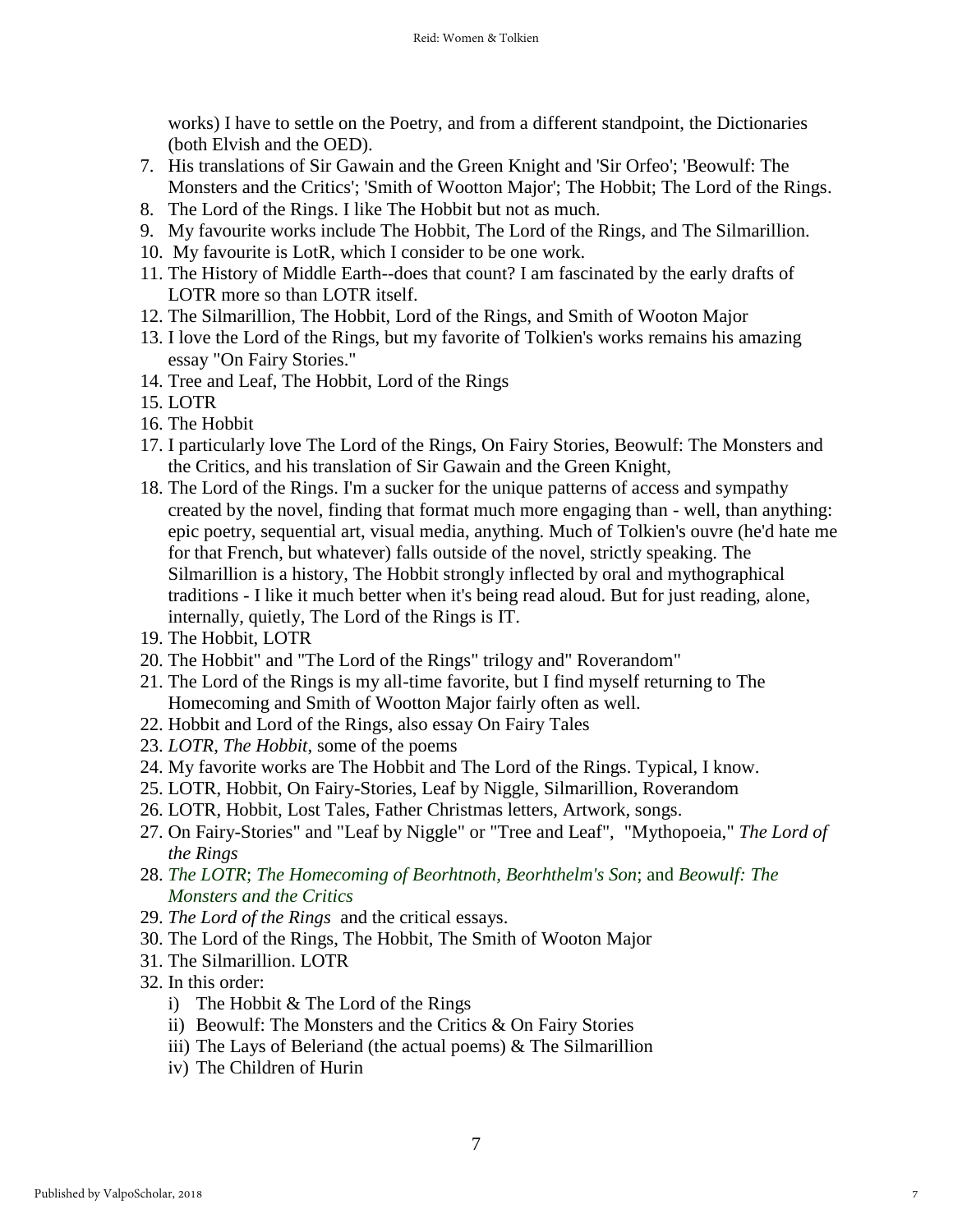works) I have to settle on the Poetry, and from a different standpoint, the Dictionaries (both Elvish and the OED).

- 7. His translations of Sir Gawain and the Green Knight and 'Sir Orfeo'; 'Beowulf: The Monsters and the Critics'; 'Smith of Wootton Major'; The Hobbit; The Lord of the Rings.
- 8. The Lord of the Rings. I like The Hobbit but not as much.
- 9. My favourite works include The Hobbit, The Lord of the Rings, and The Silmarillion.
- 10. My favourite is LotR, which I consider to be one work.
- 11. The History of Middle Earth--does that count? I am fascinated by the early drafts of LOTR more so than LOTR itself.
- 12. The Silmarillion, The Hobbit, Lord of the Rings, and Smith of Wooton Major
- 13. I love the Lord of the Rings, but my favorite of Tolkien's works remains his amazing essay "On Fairy Stories."
- 14. Tree and Leaf, The Hobbit, Lord of the Rings
- 15. LOTR
- 16. The Hobbit
- 17. I particularly love The Lord of the Rings, On Fairy Stories, Beowulf: The Monsters and the Critics, and his translation of Sir Gawain and the Green Knight,
- 18. The Lord of the Rings. I'm a sucker for the unique patterns of access and sympathy created by the novel, finding that format much more engaging than - well, than anything: epic poetry, sequential art, visual media, anything. Much of Tolkien's ouvre (he'd hate me for that French, but whatever) falls outside of the novel, strictly speaking. The Silmarillion is a history, The Hobbit strongly inflected by oral and mythographical traditions - I like it much better when it's being read aloud. But for just reading, alone, internally, quietly, The Lord of the Rings is IT.
- 19. The Hobbit, LOTR
- 20. The Hobbit" and "The Lord of the Rings" trilogy and" Roverandom"
- 21. The Lord of the Rings is my all-time favorite, but I find myself returning to The Homecoming and Smith of Wootton Major fairly often as well.
- 22. Hobbit and Lord of the Rings, also essay On Fairy Tales
- 23. *LOTR*, *The Hobbit*, some of the poems
- 24. My favorite works are The Hobbit and The Lord of the Rings. Typical, I know.
- 25. LOTR, Hobbit, On Fairy-Stories, Leaf by Niggle, Silmarillion, Roverandom
- 26. LOTR, Hobbit, Lost Tales, Father Christmas letters, Artwork, songs.
- 27. On Fairy-Stories" and "Leaf by Niggle" or "Tree and Leaf", "Mythopoeia," *The Lord of the Rings*
- 28. *The LOTR*; *The Homecoming of Beorhtnoth, Beorhthelm's Son*; and *Beowulf: The Monsters and the Critics*
- 29. *The Lord of the Rings* and the critical essays.
- 30. The Lord of the Rings, The Hobbit, The Smith of Wooton Major
- 31. The Silmarillion. LOTR
- 32. In this order:
	- i) The Hobbit & The Lord of the Rings
	- ii) Beowulf: The Monsters and the Critics & On Fairy Stories
	- iii) The Lays of Beleriand (the actual poems) & The Silmarillion
	- iv) The Children of Hurin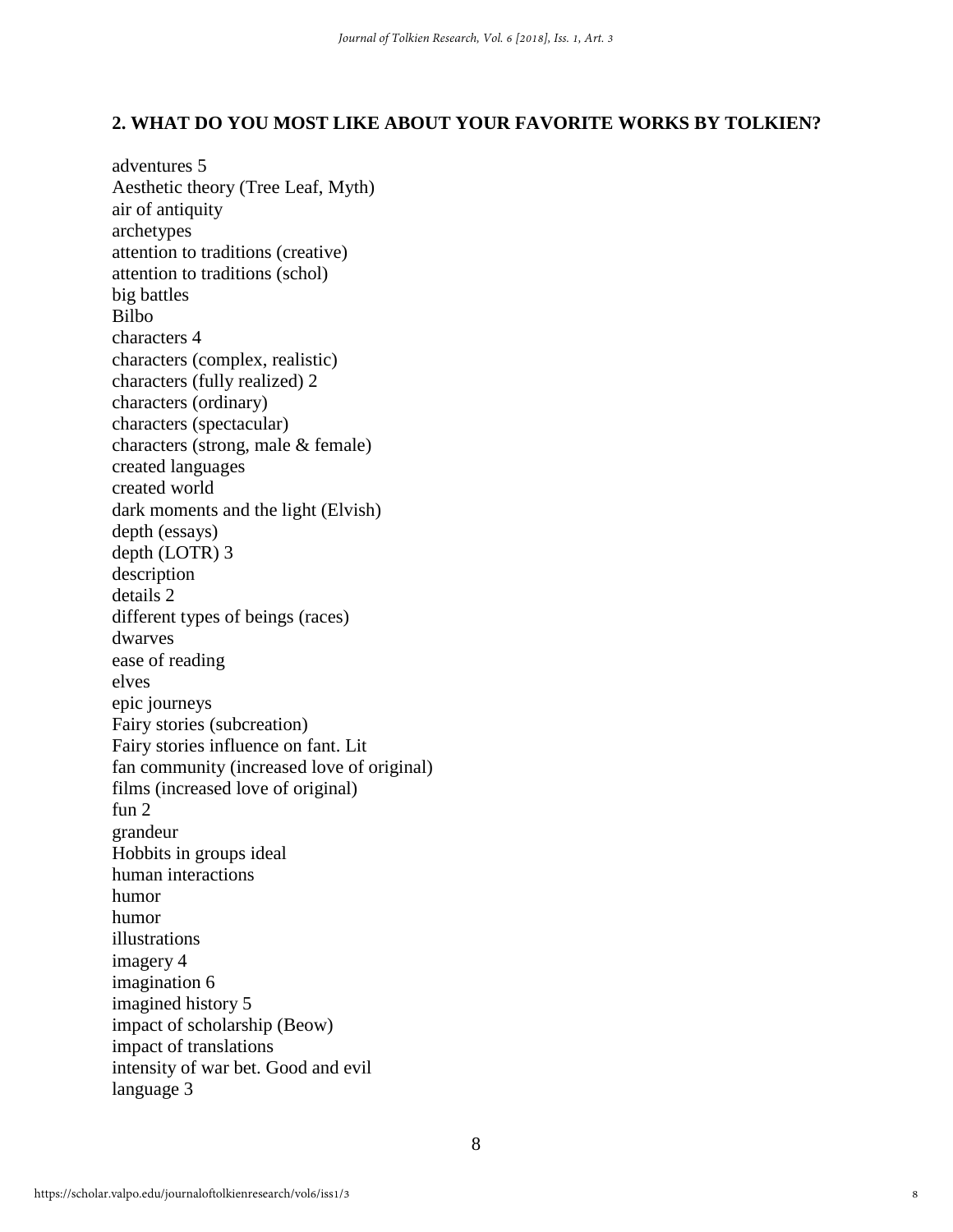## **2. WHAT DO YOU MOST LIKE ABOUT YOUR FAVORITE WORKS BY TOLKIEN?**

adventures 5 Aesthetic theory (Tree Leaf, Myth) air of antiquity archetypes attention to traditions (creative) attention to traditions (schol) big battles Bilbo characters 4 characters (complex, realistic) characters (fully realized) 2 characters (ordinary) characters (spectacular) characters (strong, male & female) created languages created world dark moments and the light (Elvish) depth (essays) depth (LOTR) 3 description details 2 different types of beings (races) dwarves ease of reading elves epic journeys Fairy stories (subcreation) Fairy stories influence on fant. Lit fan community (increased love of original) films (increased love of original) fun 2 grandeur Hobbits in groups ideal human interactions humor humor illustrations imagery 4 imagination 6 imagined history 5 impact of scholarship (Beow) impact of translations intensity of war bet. Good and evil language 3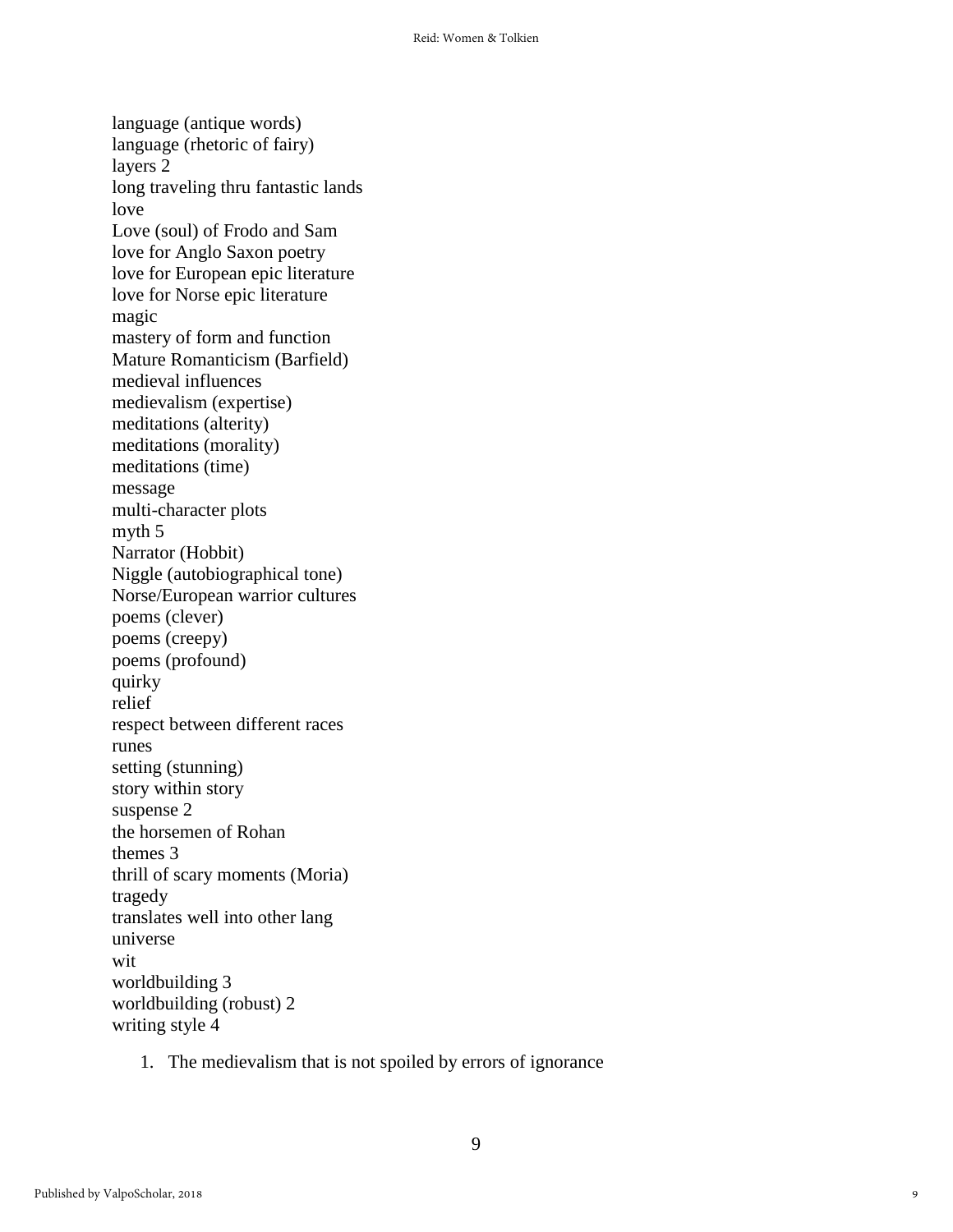language (antique words) language (rhetoric of fairy) layers 2 long traveling thru fantastic lands love Love (soul) of Frodo and Sam love for Anglo Saxon poetry love for European epic literature love for Norse epic literature magic mastery of form and function Mature Romanticism (Barfield) medieval influences medievalism (expertise) meditations (alterity) meditations (morality) meditations (time) message multi-character plots myth 5 Narrator (Hobbit) Niggle (autobiographical tone) Norse/European warrior cultures poems (clever) poems (creepy) poems (profound) quirky relief respect between different races runes setting (stunning) story within story suspense 2 the horsemen of Rohan themes 3 thrill of scary moments (Moria) tragedy translates well into other lang universe wit worldbuilding 3 worldbuilding (robust) 2 writing style 4

1. The medievalism that is not spoiled by errors of ignorance

9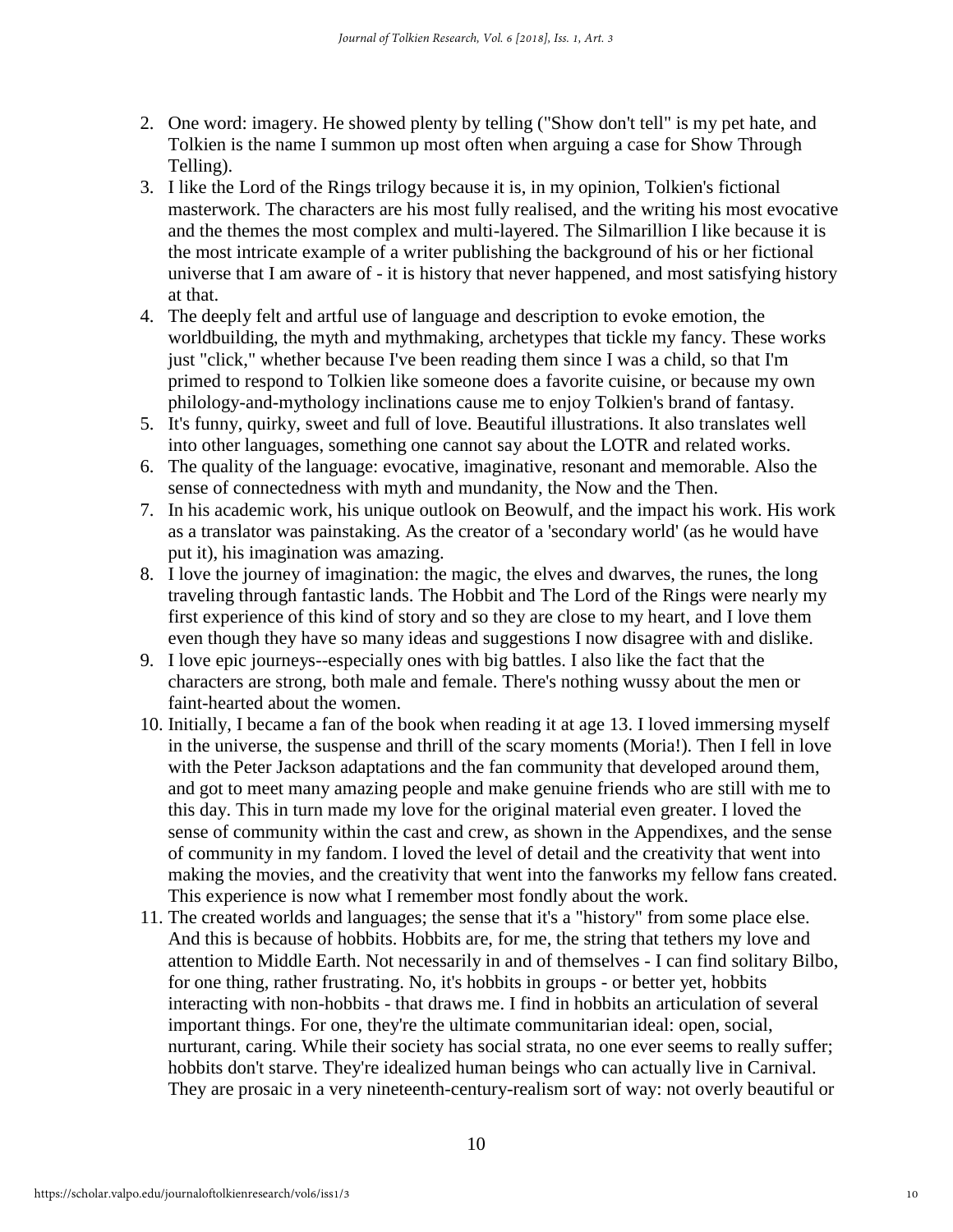- 2. One word: imagery. He showed plenty by telling ("Show don't tell" is my pet hate, and Tolkien is the name I summon up most often when arguing a case for Show Through Telling).
- 3. I like the Lord of the Rings trilogy because it is, in my opinion, Tolkien's fictional masterwork. The characters are his most fully realised, and the writing his most evocative and the themes the most complex and multi-layered. The Silmarillion I like because it is the most intricate example of a writer publishing the background of his or her fictional universe that I am aware of - it is history that never happened, and most satisfying history at that.
- 4. The deeply felt and artful use of language and description to evoke emotion, the worldbuilding, the myth and mythmaking, archetypes that tickle my fancy. These works just "click," whether because I've been reading them since I was a child, so that I'm primed to respond to Tolkien like someone does a favorite cuisine, or because my own philology-and-mythology inclinations cause me to enjoy Tolkien's brand of fantasy.
- 5. It's funny, quirky, sweet and full of love. Beautiful illustrations. It also translates well into other languages, something one cannot say about the LOTR and related works.
- 6. The quality of the language: evocative, imaginative, resonant and memorable. Also the sense of connectedness with myth and mundanity, the Now and the Then.
- 7. In his academic work, his unique outlook on Beowulf, and the impact his work. His work as a translator was painstaking. As the creator of a 'secondary world' (as he would have put it), his imagination was amazing.
- 8. I love the journey of imagination: the magic, the elves and dwarves, the runes, the long traveling through fantastic lands. The Hobbit and The Lord of the Rings were nearly my first experience of this kind of story and so they are close to my heart, and I love them even though they have so many ideas and suggestions I now disagree with and dislike.
- 9. I love epic journeys--especially ones with big battles. I also like the fact that the characters are strong, both male and female. There's nothing wussy about the men or faint-hearted about the women.
- 10. Initially, I became a fan of the book when reading it at age 13. I loved immersing myself in the universe, the suspense and thrill of the scary moments (Moria!). Then I fell in love with the Peter Jackson adaptations and the fan community that developed around them, and got to meet many amazing people and make genuine friends who are still with me to this day. This in turn made my love for the original material even greater. I loved the sense of community within the cast and crew, as shown in the Appendixes, and the sense of community in my fandom. I loved the level of detail and the creativity that went into making the movies, and the creativity that went into the fanworks my fellow fans created. This experience is now what I remember most fondly about the work.
- 11. The created worlds and languages; the sense that it's a "history" from some place else. And this is because of hobbits. Hobbits are, for me, the string that tethers my love and attention to Middle Earth. Not necessarily in and of themselves - I can find solitary Bilbo, for one thing, rather frustrating. No, it's hobbits in groups - or better yet, hobbits interacting with non-hobbits - that draws me. I find in hobbits an articulation of several important things. For one, they're the ultimate communitarian ideal: open, social, nurturant, caring. While their society has social strata, no one ever seems to really suffer; hobbits don't starve. They're idealized human beings who can actually live in Carnival. They are prosaic in a very nineteenth-century-realism sort of way: not overly beautiful or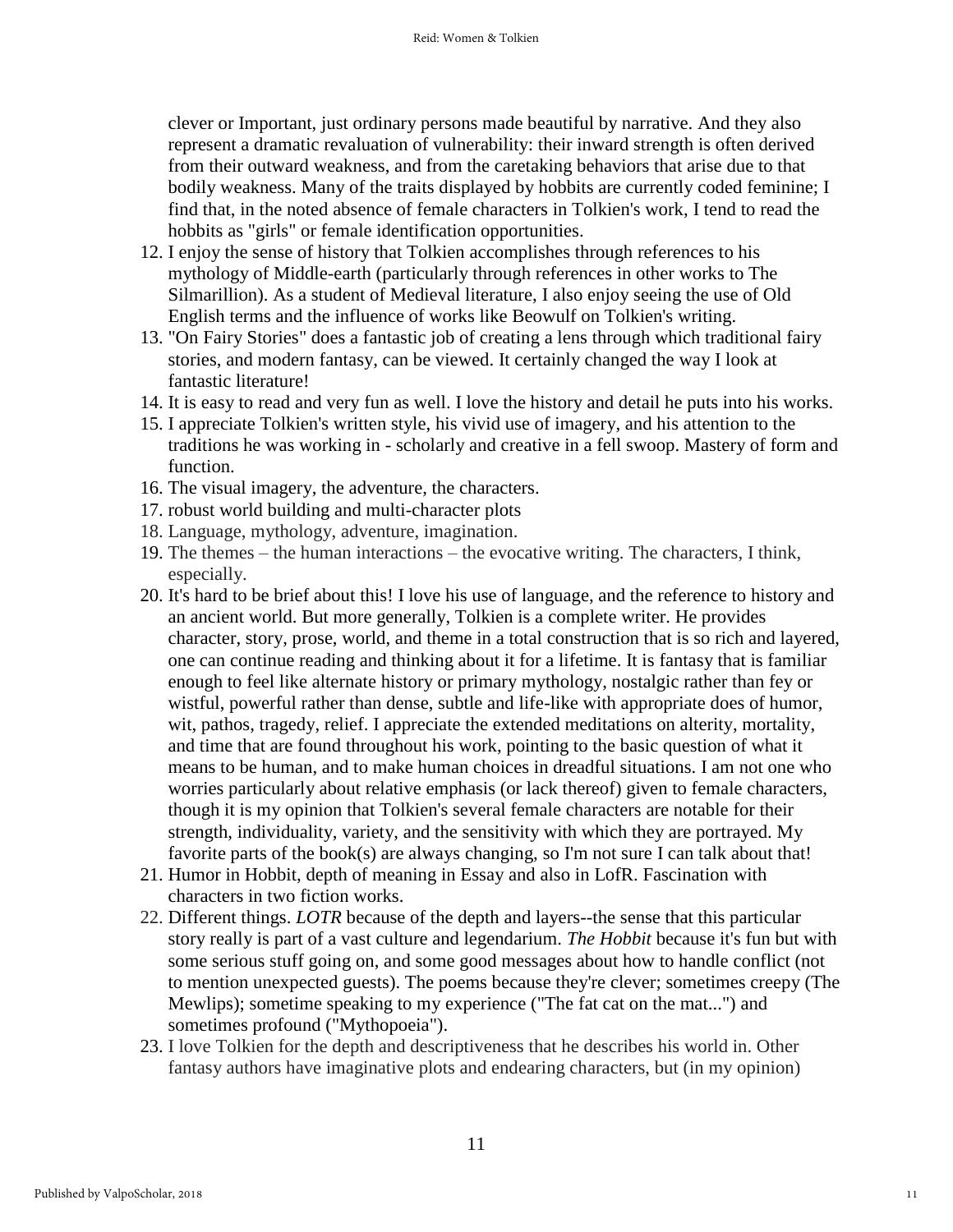clever or Important, just ordinary persons made beautiful by narrative. And they also represent a dramatic revaluation of vulnerability: their inward strength is often derived from their outward weakness, and from the caretaking behaviors that arise due to that bodily weakness. Many of the traits displayed by hobbits are currently coded feminine; I find that, in the noted absence of female characters in Tolkien's work, I tend to read the hobbits as "girls" or female identification opportunities.

- 12. I enjoy the sense of history that Tolkien accomplishes through references to his mythology of Middle-earth (particularly through references in other works to The Silmarillion). As a student of Medieval literature, I also enjoy seeing the use of Old English terms and the influence of works like Beowulf on Tolkien's writing.
- 13. "On Fairy Stories" does a fantastic job of creating a lens through which traditional fairy stories, and modern fantasy, can be viewed. It certainly changed the way I look at fantastic literature!
- 14. It is easy to read and very fun as well. I love the history and detail he puts into his works.
- 15. I appreciate Tolkien's written style, his vivid use of imagery, and his attention to the traditions he was working in - scholarly and creative in a fell swoop. Mastery of form and function.
- 16. The visual imagery, the adventure, the characters.
- 17. robust world building and multi-character plots
- 18. Language, mythology, adventure, imagination.
- 19. The themes the human interactions the evocative writing. The characters, I think, especially.
- 20. It's hard to be brief about this! I love his use of language, and the reference to history and an ancient world. But more generally, Tolkien is a complete writer. He provides character, story, prose, world, and theme in a total construction that is so rich and layered, one can continue reading and thinking about it for a lifetime. It is fantasy that is familiar enough to feel like alternate history or primary mythology, nostalgic rather than fey or wistful, powerful rather than dense, subtle and life-like with appropriate does of humor, wit, pathos, tragedy, relief. I appreciate the extended meditations on alterity, mortality, and time that are found throughout his work, pointing to the basic question of what it means to be human, and to make human choices in dreadful situations. I am not one who worries particularly about relative emphasis (or lack thereof) given to female characters, though it is my opinion that Tolkien's several female characters are notable for their strength, individuality, variety, and the sensitivity with which they are portrayed. My favorite parts of the book(s) are always changing, so I'm not sure I can talk about that!
- 21. Humor in Hobbit, depth of meaning in Essay and also in LofR. Fascination with characters in two fiction works.
- 22. Different things. *LOTR* because of the depth and layers--the sense that this particular story really is part of a vast culture and legendarium. *The Hobbit* because it's fun but with some serious stuff going on, and some good messages about how to handle conflict (not to mention unexpected guests). The poems because they're clever; sometimes creepy (The Mewlips); sometime speaking to my experience ("The fat cat on the mat...") and sometimes profound ("Mythopoeia").
- 23. I love Tolkien for the depth and descriptiveness that he describes his world in. Other fantasy authors have imaginative plots and endearing characters, but (in my opinion)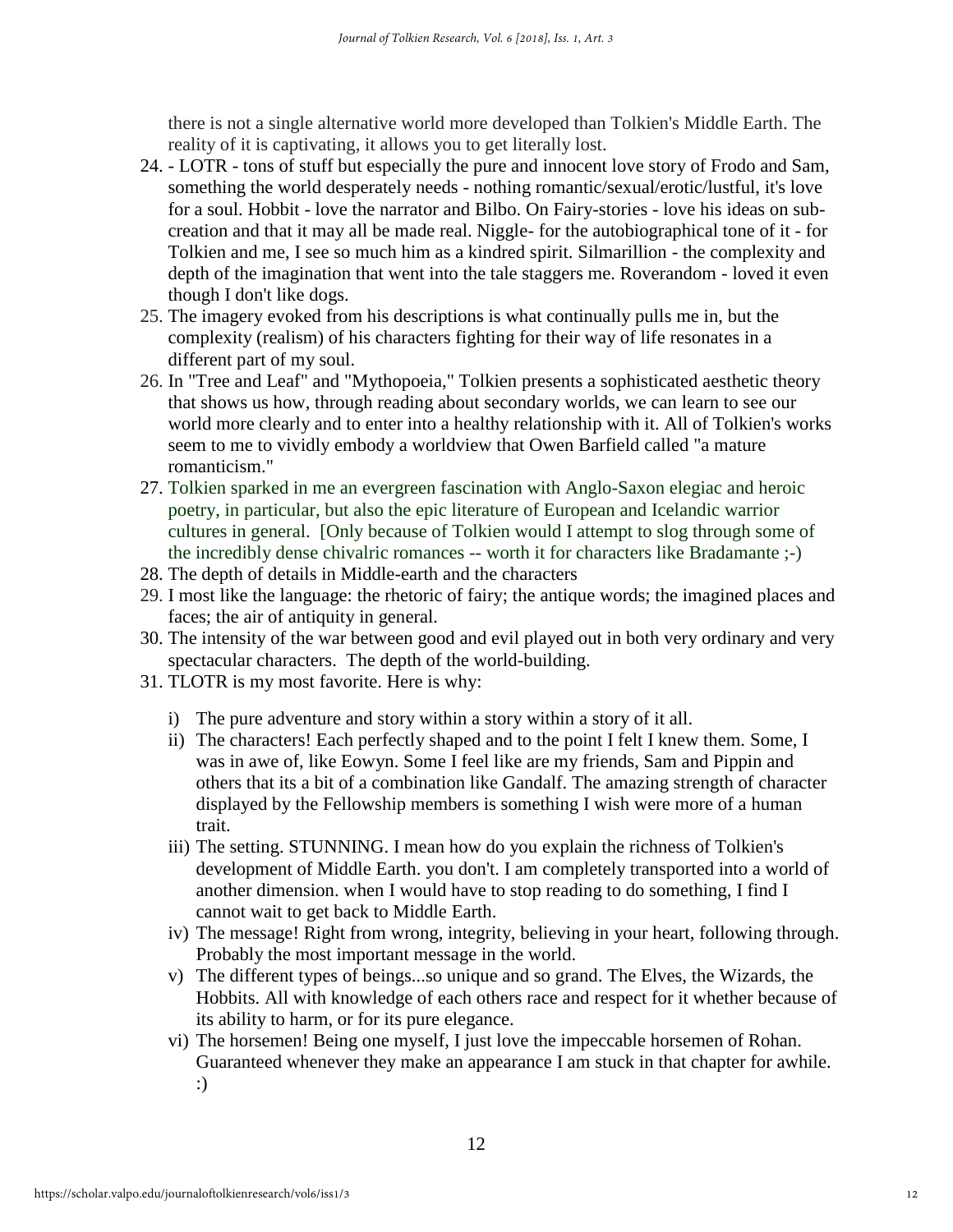there is not a single alternative world more developed than Tolkien's Middle Earth. The reality of it is captivating, it allows you to get literally lost.

- 24. LOTR tons of stuff but especially the pure and innocent love story of Frodo and Sam, something the world desperately needs - nothing romantic/sexual/erotic/lustful, it's love for a soul. Hobbit - love the narrator and Bilbo. On Fairy-stories - love his ideas on subcreation and that it may all be made real. Niggle- for the autobiographical tone of it - for Tolkien and me, I see so much him as a kindred spirit. Silmarillion - the complexity and depth of the imagination that went into the tale staggers me. Roverandom - loved it even though I don't like dogs.
- 25. The imagery evoked from his descriptions is what continually pulls me in, but the complexity (realism) of his characters fighting for their way of life resonates in a different part of my soul.
- 26. In "Tree and Leaf" and "Mythopoeia," Tolkien presents a sophisticated aesthetic theory that shows us how, through reading about secondary worlds, we can learn to see our world more clearly and to enter into a healthy relationship with it. All of Tolkien's works seem to me to vividly embody a worldview that Owen Barfield called "a mature romanticism."
- 27. Tolkien sparked in me an evergreen fascination with Anglo-Saxon elegiac and heroic poetry, in particular, but also the epic literature of European and Icelandic warrior cultures in general. [Only because of Tolkien would I attempt to slog through some of the incredibly dense chivalric romances -- worth it for characters like Bradamante ;-)
- 28. The depth of details in Middle-earth and the characters
- 29. I most like the language: the rhetoric of fairy; the antique words; the imagined places and faces; the air of antiquity in general.
- 30. The intensity of the war between good and evil played out in both very ordinary and very spectacular characters. The depth of the world-building.
- 31. TLOTR is my most favorite. Here is why:
	- i) The pure adventure and story within a story within a story of it all.
	- ii) The characters! Each perfectly shaped and to the point I felt I knew them. Some, I was in awe of, like Eowyn. Some I feel like are my friends, Sam and Pippin and others that its a bit of a combination like Gandalf. The amazing strength of character displayed by the Fellowship members is something I wish were more of a human trait.
	- iii) The setting. STUNNING. I mean how do you explain the richness of Tolkien's development of Middle Earth. you don't. I am completely transported into a world of another dimension. when I would have to stop reading to do something, I find I cannot wait to get back to Middle Earth.
	- iv) The message! Right from wrong, integrity, believing in your heart, following through. Probably the most important message in the world.
	- v) The different types of beings...so unique and so grand. The Elves, the Wizards, the Hobbits. All with knowledge of each others race and respect for it whether because of its ability to harm, or for its pure elegance.
	- vi) The horsemen! Being one myself, I just love the impeccable horsemen of Rohan. Guaranteed whenever they make an appearance I am stuck in that chapter for awhile. :)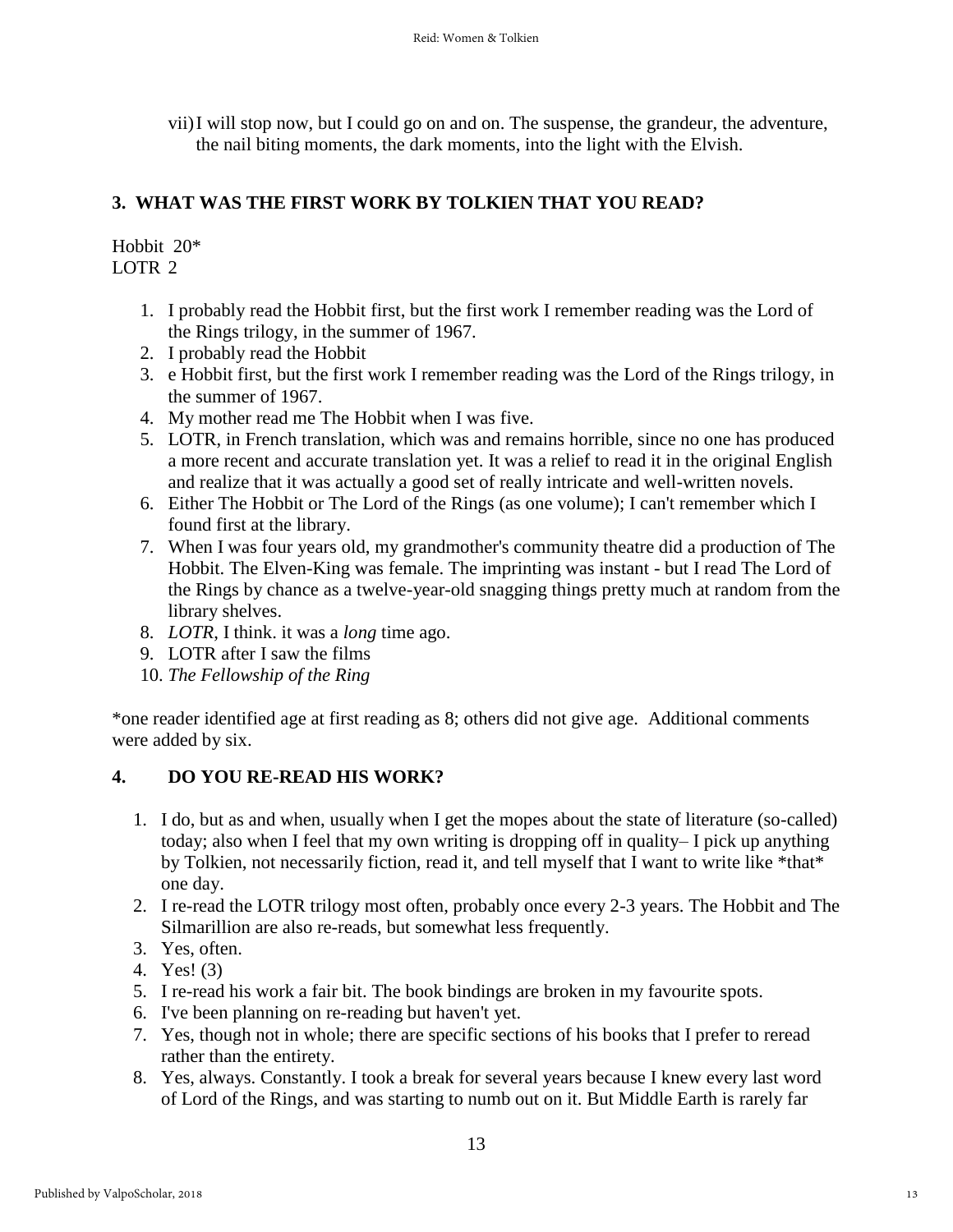vii)I will stop now, but I could go on and on. The suspense, the grandeur, the adventure, the nail biting moments, the dark moments, into the light with the Elvish.

## **3. WHAT WAS THE FIRST WORK BY TOLKIEN THAT YOU READ?**

Hobbit 20\* LOTR 2

- 1. I probably read the Hobbit first, but the first work I remember reading was the Lord of the Rings trilogy, in the summer of 1967.
- 2. I probably read the Hobbit
- 3. e Hobbit first, but the first work I remember reading was the Lord of the Rings trilogy, in the summer of 1967.
- 4. My mother read me The Hobbit when I was five.
- 5. LOTR, in French translation, which was and remains horrible, since no one has produced a more recent and accurate translation yet. It was a relief to read it in the original English and realize that it was actually a good set of really intricate and well-written novels.
- 6. Either The Hobbit or The Lord of the Rings (as one volume); I can't remember which I found first at the library.
- 7. When I was four years old, my grandmother's community theatre did a production of The Hobbit. The Elven-King was female. The imprinting was instant - but I read The Lord of the Rings by chance as a twelve-year-old snagging things pretty much at random from the library shelves.
- 8. *LOTR*, I think. it was a *long* time ago.
- 9. LOTR after I saw the films
- 10. *The Fellowship of the Ring*

\*one reader identified age at first reading as 8; others did not give age. Additional comments were added by six.

## **4. DO YOU RE-READ HIS WORK?**

- 1. I do, but as and when, usually when I get the mopes about the state of literature (so-called) today; also when I feel that my own writing is dropping off in quality– I pick up anything by Tolkien, not necessarily fiction, read it, and tell myself that I want to write like \*that\* one day.
- 2. I re-read the LOTR trilogy most often, probably once every 2-3 years. The Hobbit and The Silmarillion are also re-reads, but somewhat less frequently.
- 3. Yes, often.
- 4. Yes! (3)
- 5. I re-read his work a fair bit. The book bindings are broken in my favourite spots.
- 6. I've been planning on re-reading but haven't yet.
- 7. Yes, though not in whole; there are specific sections of his books that I prefer to reread rather than the entirety.
- 8. Yes, always. Constantly. I took a break for several years because I knew every last word of Lord of the Rings, and was starting to numb out on it. But Middle Earth is rarely far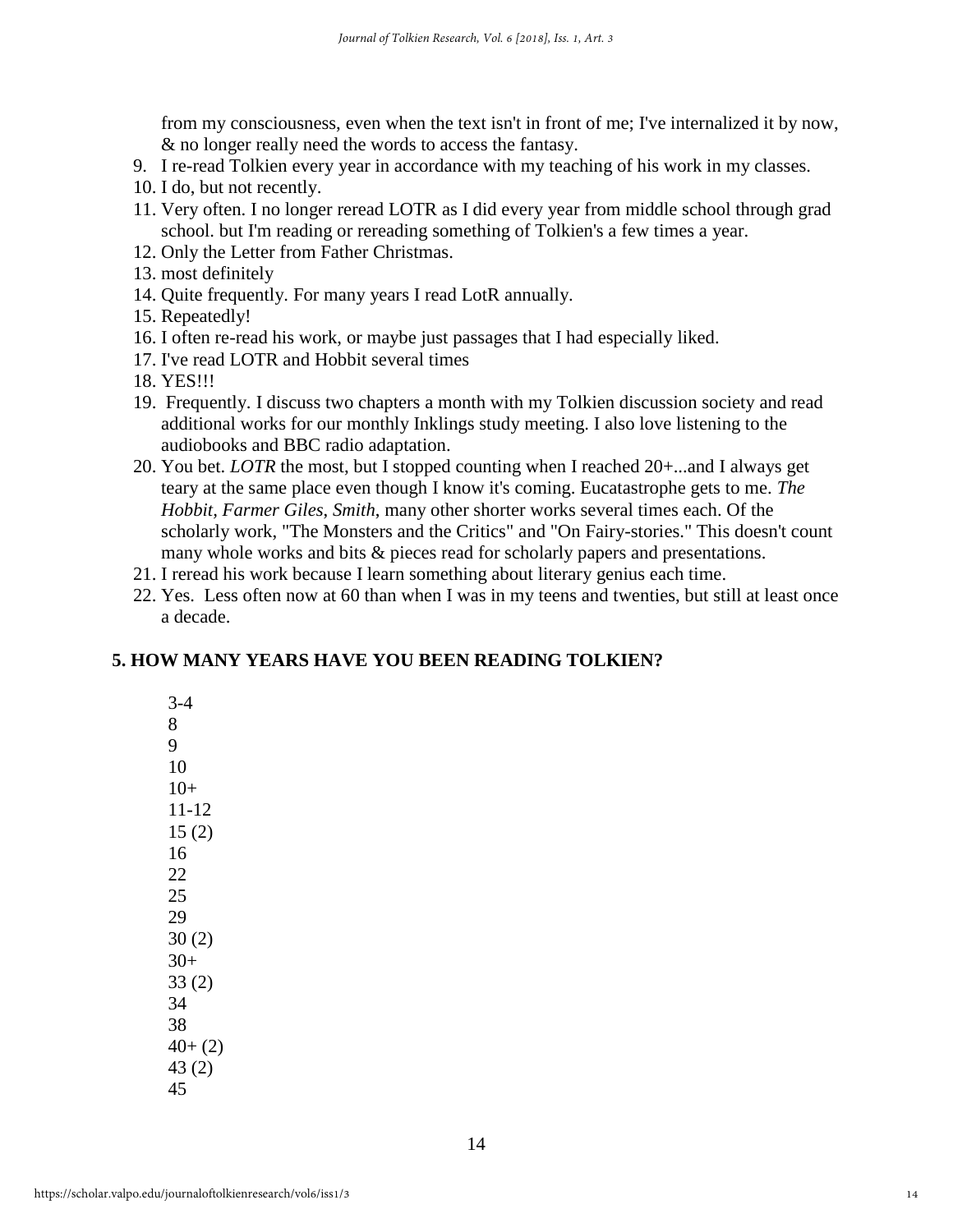from my consciousness, even when the text isn't in front of me; I've internalized it by now, & no longer really need the words to access the fantasy.

- 9. I re-read Tolkien every year in accordance with my teaching of his work in my classes.
- 10. I do, but not recently.
- 11. Very often. I no longer reread LOTR as I did every year from middle school through grad school. but I'm reading or rereading something of Tolkien's a few times a year.
- 12. Only the Letter from Father Christmas.
- 13. most definitely
- 14. Quite frequently. For many years I read LotR annually.
- 15. Repeatedly!
- 16. I often re-read his work, or maybe just passages that I had especially liked.
- 17. I've read LOTR and Hobbit several times
- 18. YES!!!
- 19. Frequently. I discuss two chapters a month with my Tolkien discussion society and read additional works for our monthly Inklings study meeting. I also love listening to the audiobooks and BBC radio adaptation.
- 20. You bet. *LOTR* the most, but I stopped counting when I reached 20+...and I always get teary at the same place even though I know it's coming. Eucatastrophe gets to me. *The Hobbit, Farmer Giles*, *Smith*, many other shorter works several times each. Of the scholarly work, "The Monsters and the Critics" and "On Fairy-stories." This doesn't count many whole works and bits & pieces read for scholarly papers and presentations.
- 21. I reread his work because I learn something about literary genius each time.
- 22. Yes. Less often now at 60 than when I was in my teens and twenties, but still at least once a decade.

## **5. HOW MANY YEARS HAVE YOU BEEN READING TOLKIEN?**

| $3-4$           |
|-----------------|
| 8               |
| 9               |
| 10              |
| $10+$           |
| $11 - 12$       |
| 15(2)           |
| 16              |
| $\overline{22}$ |
| 25              |
| 29              |
| 30(2)           |
| $30+$           |
| 33(2)           |
| 34              |
| 38              |
| $40+ (2)$       |
| 43(2)           |
| 45              |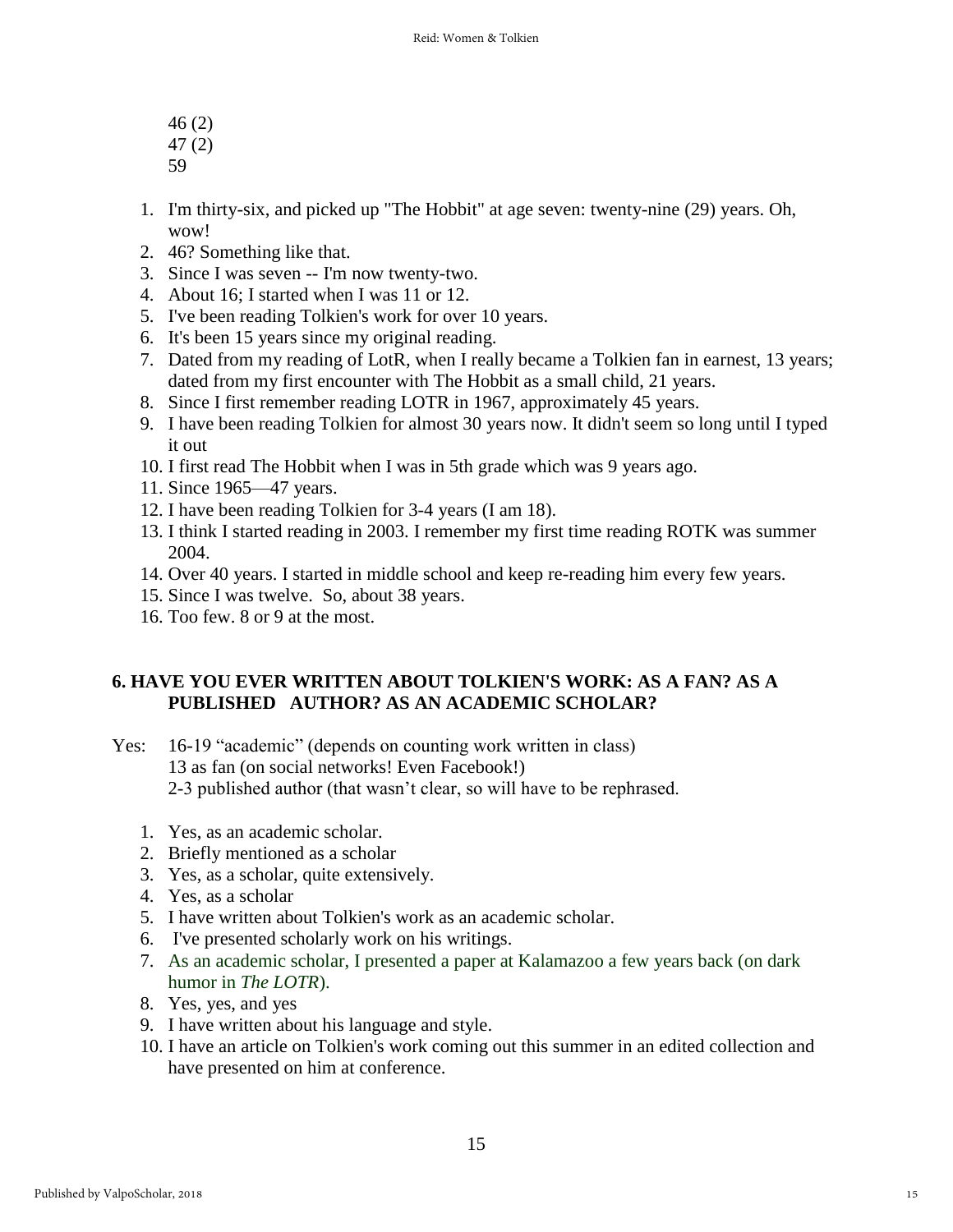- 46 (2)
- 47 (2)
- 59
- 1. I'm thirty-six, and picked up "The Hobbit" at age seven: twenty-nine (29) years. Oh, wow!
- 2. 46? Something like that.
- 3. Since I was seven -- I'm now twenty-two.
- 4. About 16; I started when I was 11 or 12.
- 5. I've been reading Tolkien's work for over 10 years.
- 6. It's been 15 years since my original reading.
- 7. Dated from my reading of LotR, when I really became a Tolkien fan in earnest, 13 years; dated from my first encounter with The Hobbit as a small child, 21 years.
- 8. Since I first remember reading LOTR in 1967, approximately 45 years.
- 9. I have been reading Tolkien for almost 30 years now. It didn't seem so long until I typed it out
- 10. I first read The Hobbit when I was in 5th grade which was 9 years ago.
- 11. Since 1965—47 years.
- 12. I have been reading Tolkien for 3-4 years (I am 18).
- 13. I think I started reading in 2003. I remember my first time reading ROTK was summer 2004.
- 14. Over 40 years. I started in middle school and keep re-reading him every few years.
- 15. Since I was twelve. So, about 38 years.
- 16. Too few. 8 or 9 at the most.

## **6. HAVE YOU EVER WRITTEN ABOUT TOLKIEN'S WORK: AS A FAN? AS A PUBLISHED AUTHOR? AS AN ACADEMIC SCHOLAR?**

- Yes: 16-19 "academic" (depends on counting work written in class) 13 as fan (on social networks! Even Facebook!) 2-3 published author (that wasn't clear, so will have to be rephrased.
	- 1. Yes, as an academic scholar.
	- 2. Briefly mentioned as a scholar
	- 3. Yes, as a scholar, quite extensively.
	- 4. Yes, as a scholar
	- 5. I have written about Tolkien's work as an academic scholar.
	- 6. I've presented scholarly work on his writings.
	- 7. As an academic scholar, I presented a paper at Kalamazoo a few years back (on dark humor in *The LOTR*).
	- 8. Yes, yes, and yes
	- 9. I have written about his language and style.
	- 10. I have an article on Tolkien's work coming out this summer in an edited collection and have presented on him at conference.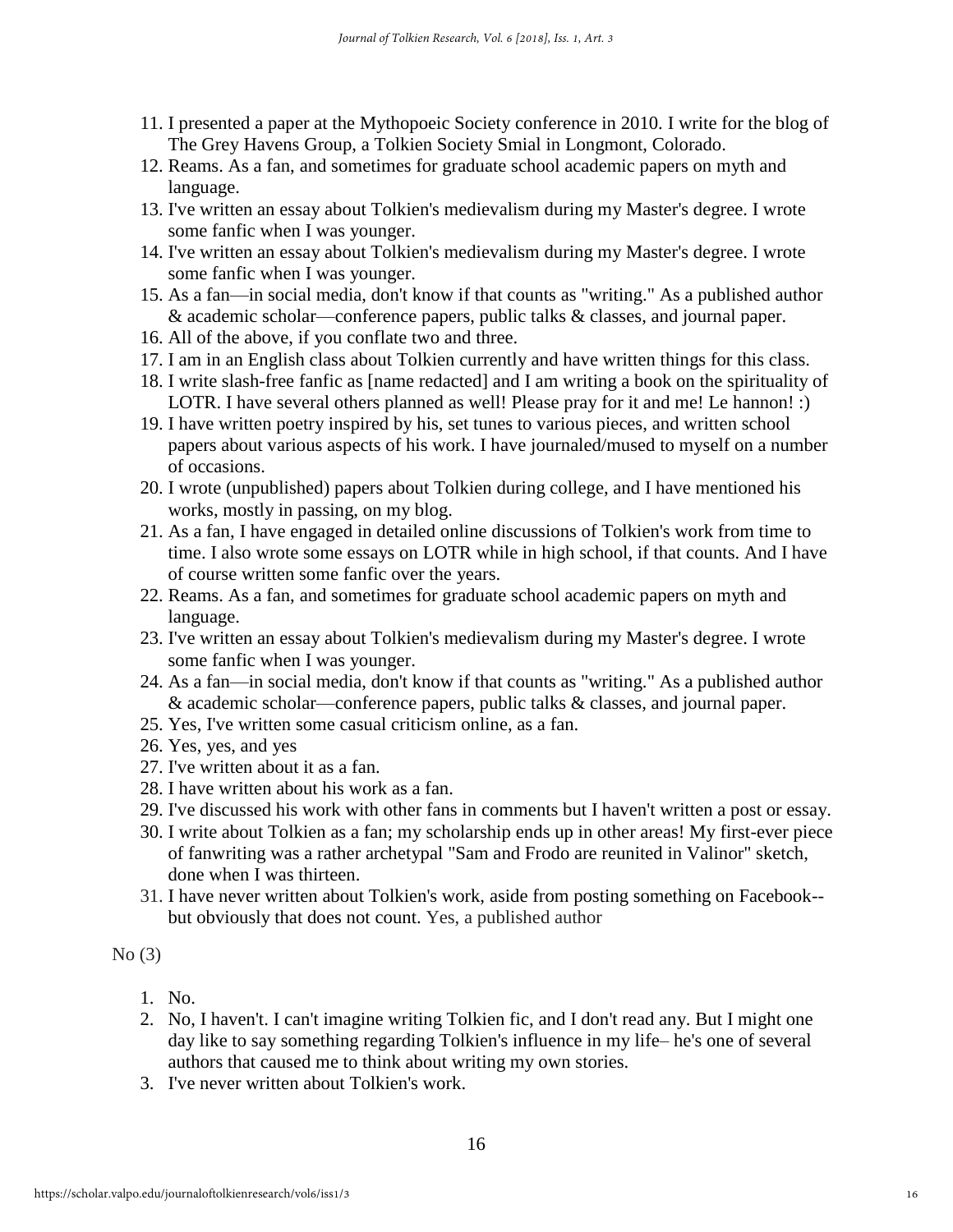- 11. I presented a paper at the Mythopoeic Society conference in 2010. I write for the blog of The Grey Havens Group, a Tolkien Society Smial in Longmont, Colorado.
- 12. Reams. As a fan, and sometimes for graduate school academic papers on myth and language.
- 13. I've written an essay about Tolkien's medievalism during my Master's degree. I wrote some fanfic when I was younger.
- 14. I've written an essay about Tolkien's medievalism during my Master's degree. I wrote some fanfic when I was younger.
- 15. As a fan—in social media, don't know if that counts as "writing." As a published author & academic scholar—conference papers, public talks & classes, and journal paper.
- 16. All of the above, if you conflate two and three.
- 17. I am in an English class about Tolkien currently and have written things for this class.
- 18. I write slash-free fanfic as [name redacted] and I am writing a book on the spirituality of LOTR. I have several others planned as well! Please pray for it and me! Le hannon! :)
- 19. I have written poetry inspired by his, set tunes to various pieces, and written school papers about various aspects of his work. I have journaled/mused to myself on a number of occasions.
- 20. I wrote (unpublished) papers about Tolkien during college, and I have mentioned his works, mostly in passing, on my blog.
- 21. As a fan, I have engaged in detailed online discussions of Tolkien's work from time to time. I also wrote some essays on LOTR while in high school, if that counts. And I have of course written some fanfic over the years.
- 22. Reams. As a fan, and sometimes for graduate school academic papers on myth and language.
- 23. I've written an essay about Tolkien's medievalism during my Master's degree. I wrote some fanfic when I was younger.
- 24. As a fan—in social media, don't know if that counts as "writing." As a published author & academic scholar—conference papers, public talks & classes, and journal paper.
- 25. Yes, I've written some casual criticism online, as a fan.
- 26. Yes, yes, and yes
- 27. I've written about it as a fan.
- 28. I have written about his work as a fan.
- 29. I've discussed his work with other fans in comments but I haven't written a post or essay.
- 30. I write about Tolkien as a fan; my scholarship ends up in other areas! My first-ever piece of fanwriting was a rather archetypal "Sam and Frodo are reunited in Valinor" sketch, done when I was thirteen.
- 31. I have never written about Tolkien's work, aside from posting something on Facebook- but obviously that does not count. Yes, a published author

#### No (3)

- 1. No.
- 2. No, I haven't. I can't imagine writing Tolkien fic, and I don't read any. But I might one day like to say something regarding Tolkien's influence in my life– he's one of several authors that caused me to think about writing my own stories.
- 3. I've never written about Tolkien's work.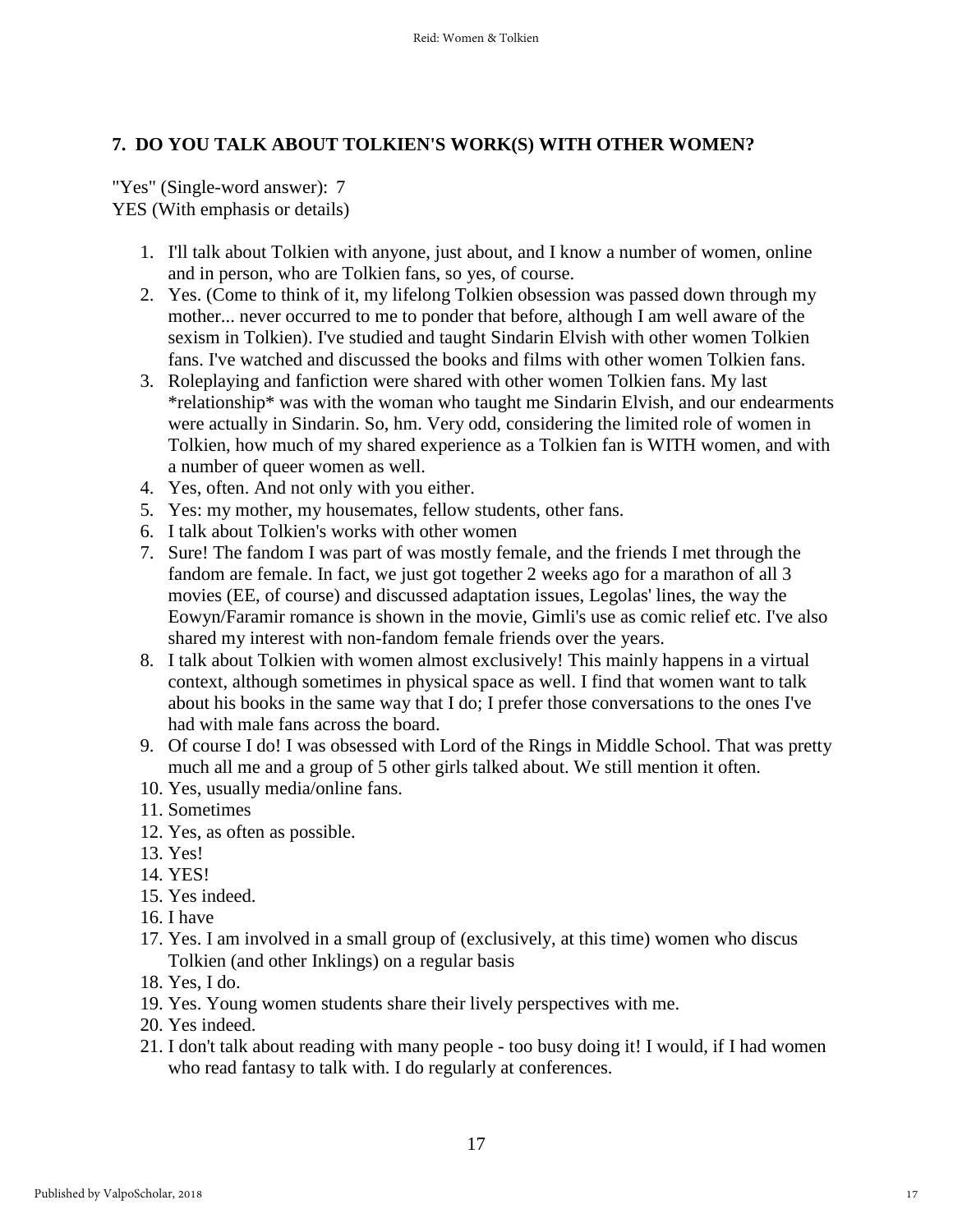## **7. DO YOU TALK ABOUT TOLKIEN'S WORK(S) WITH OTHER WOMEN?**

"Yes" (Single-word answer): 7 YES (With emphasis or details)

- 1. I'll talk about Tolkien with anyone, just about, and I know a number of women, online and in person, who are Tolkien fans, so yes, of course.
- 2. Yes. (Come to think of it, my lifelong Tolkien obsession was passed down through my mother... never occurred to me to ponder that before, although I am well aware of the sexism in Tolkien). I've studied and taught Sindarin Elvish with other women Tolkien fans. I've watched and discussed the books and films with other women Tolkien fans.
- 3. Roleplaying and fanfiction were shared with other women Tolkien fans. My last \*relationship\* was with the woman who taught me Sindarin Elvish, and our endearments were actually in Sindarin. So, hm. Very odd, considering the limited role of women in Tolkien, how much of my shared experience as a Tolkien fan is WITH women, and with a number of queer women as well.
- 4. Yes, often. And not only with you either.
- 5. Yes: my mother, my housemates, fellow students, other fans.
- 6. I talk about Tolkien's works with other women
- 7. Sure! The fandom I was part of was mostly female, and the friends I met through the fandom are female. In fact, we just got together 2 weeks ago for a marathon of all 3 movies (EE, of course) and discussed adaptation issues, Legolas' lines, the way the Eowyn/Faramir romance is shown in the movie, Gimli's use as comic relief etc. I've also shared my interest with non-fandom female friends over the years.
- 8. I talk about Tolkien with women almost exclusively! This mainly happens in a virtual context, although sometimes in physical space as well. I find that women want to talk about his books in the same way that I do; I prefer those conversations to the ones I've had with male fans across the board.
- 9. Of course I do! I was obsessed with Lord of the Rings in Middle School. That was pretty much all me and a group of 5 other girls talked about. We still mention it often.
- 10. Yes, usually media/online fans.
- 11. Sometimes
- 12. Yes, as often as possible.
- 13. Yes!
- 14. YES!
- 15. Yes indeed.
- 16. I have
- 17. Yes. I am involved in a small group of (exclusively, at this time) women who discus Tolkien (and other Inklings) on a regular basis
- 18. Yes, I do.
- 19. Yes. Young women students share their lively perspectives with me.
- 20. Yes indeed.
- 21. I don't talk about reading with many people too busy doing it! I would, if I had women who read fantasy to talk with. I do regularly at conferences.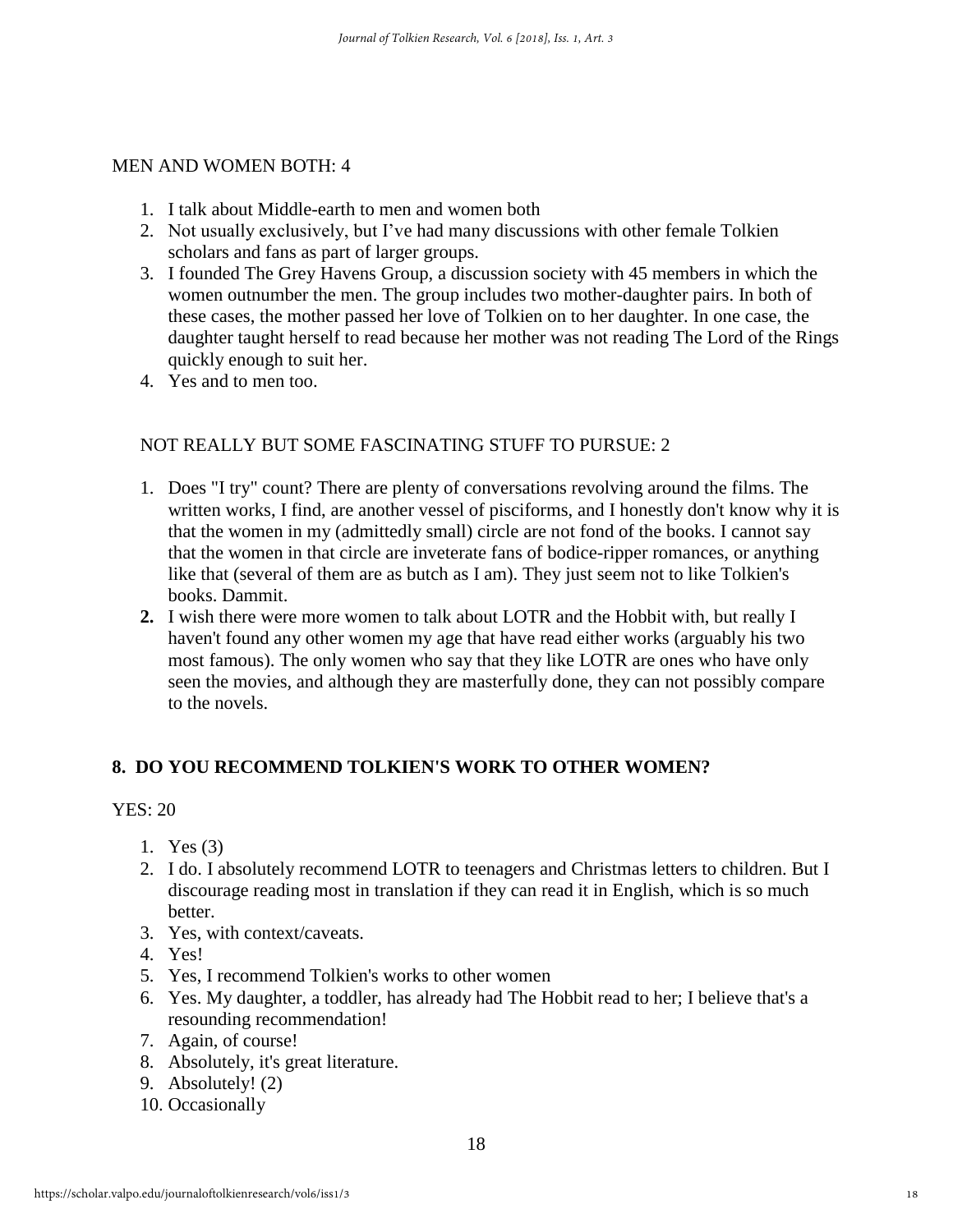#### MEN AND WOMEN BOTH: 4

- 1. I talk about Middle-earth to men and women both
- 2. Not usually exclusively, but I've had many discussions with other female Tolkien scholars and fans as part of larger groups.
- 3. I founded The Grey Havens Group, a discussion society with 45 members in which the women outnumber the men. The group includes two mother-daughter pairs. In both of these cases, the mother passed her love of Tolkien on to her daughter. In one case, the daughter taught herself to read because her mother was not reading The Lord of the Rings quickly enough to suit her.
- 4. Yes and to men too.

## NOT REALLY BUT SOME FASCINATING STUFF TO PURSUE: 2

- 1. Does "I try" count? There are plenty of conversations revolving around the films. The written works, I find, are another vessel of pisciforms, and I honestly don't know why it is that the women in my (admittedly small) circle are not fond of the books. I cannot say that the women in that circle are inveterate fans of bodice-ripper romances, or anything like that (several of them are as butch as I am). They just seem not to like Tolkien's books. Dammit.
- **2.** I wish there were more women to talk about LOTR and the Hobbit with, but really I haven't found any other women my age that have read either works (arguably his two most famous). The only women who say that they like LOTR are ones who have only seen the movies, and although they are masterfully done, they can not possibly compare to the novels.

## **8. DO YOU RECOMMEND TOLKIEN'S WORK TO OTHER WOMEN?**

#### YES: 20

- 1. Yes (3)
- 2. I do. I absolutely recommend LOTR to teenagers and Christmas letters to children. But I discourage reading most in translation if they can read it in English, which is so much better.
- 3. Yes, with context/caveats.
- 4. Yes!
- 5. Yes, I recommend Tolkien's works to other women
- 6. Yes. My daughter, a toddler, has already had The Hobbit read to her; I believe that's a resounding recommendation!
- 7. Again, of course!
- 8. Absolutely, it's great literature.
- 9. Absolutely! (2)
- 10. Occasionally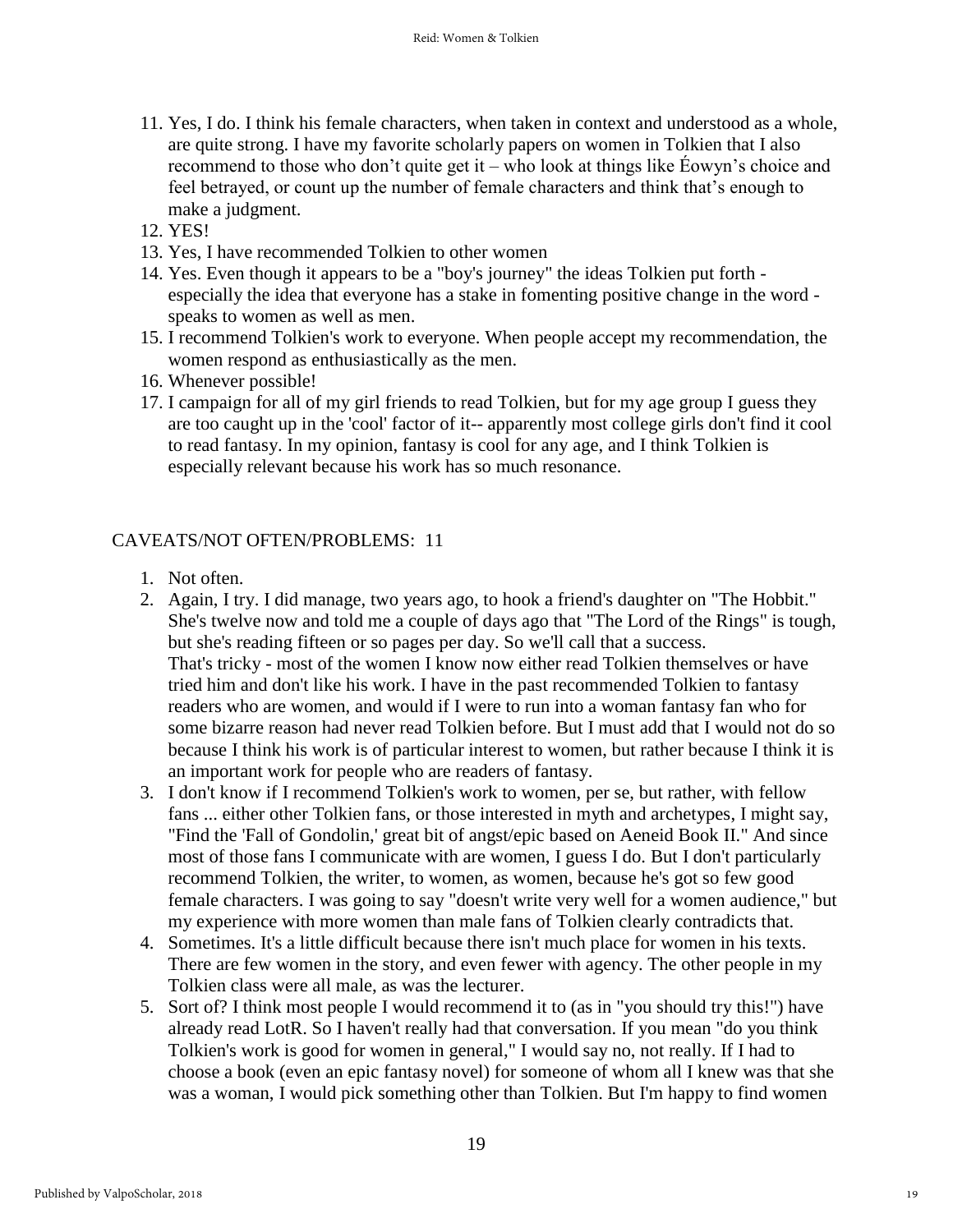- 11. Yes, I do. I think his female characters, when taken in context and understood as a whole, are quite strong. I have my favorite scholarly papers on women in Tolkien that I also recommend to those who don't quite get it – who look at things like Éowyn's choice and feel betrayed, or count up the number of female characters and think that's enough to make a judgment.
- 12. YES!
- 13. Yes, I have recommended Tolkien to other women
- 14. Yes. Even though it appears to be a "boy's journey" the ideas Tolkien put forth especially the idea that everyone has a stake in fomenting positive change in the word speaks to women as well as men.
- 15. I recommend Tolkien's work to everyone. When people accept my recommendation, the women respond as enthusiastically as the men.
- 16. Whenever possible!
- 17. I campaign for all of my girl friends to read Tolkien, but for my age group I guess they are too caught up in the 'cool' factor of it-- apparently most college girls don't find it cool to read fantasy. In my opinion, fantasy is cool for any age, and I think Tolkien is especially relevant because his work has so much resonance.

## CAVEATS/NOT OFTEN/PROBLEMS: 11

- 1. Not often.
- 2. Again, I try. I did manage, two years ago, to hook a friend's daughter on "The Hobbit." She's twelve now and told me a couple of days ago that "The Lord of the Rings" is tough, but she's reading fifteen or so pages per day. So we'll call that a success. That's tricky - most of the women I know now either read Tolkien themselves or have tried him and don't like his work. I have in the past recommended Tolkien to fantasy readers who are women, and would if I were to run into a woman fantasy fan who for some bizarre reason had never read Tolkien before. But I must add that I would not do so because I think his work is of particular interest to women, but rather because I think it is an important work for people who are readers of fantasy.
- 3. I don't know if I recommend Tolkien's work to women, per se, but rather, with fellow fans ... either other Tolkien fans, or those interested in myth and archetypes, I might say, "Find the 'Fall of Gondolin,' great bit of angst/epic based on Aeneid Book II." And since most of those fans I communicate with are women, I guess I do. But I don't particularly recommend Tolkien, the writer, to women, as women, because he's got so few good female characters. I was going to say "doesn't write very well for a women audience," but my experience with more women than male fans of Tolkien clearly contradicts that.
- 4. Sometimes. It's a little difficult because there isn't much place for women in his texts. There are few women in the story, and even fewer with agency. The other people in my Tolkien class were all male, as was the lecturer.
- 5. Sort of? I think most people I would recommend it to (as in "you should try this!") have already read LotR. So I haven't really had that conversation. If you mean "do you think Tolkien's work is good for women in general," I would say no, not really. If I had to choose a book (even an epic fantasy novel) for someone of whom all I knew was that she was a woman, I would pick something other than Tolkien. But I'm happy to find women